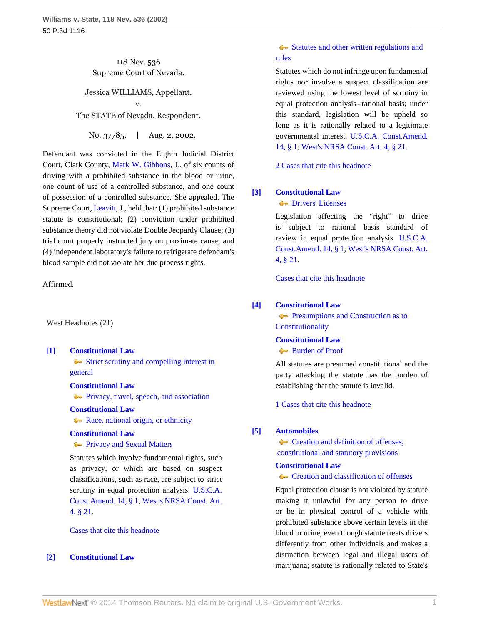# 118 Nev. 536 Supreme Court of Nevada.

Jessica WILLIAMS, Appellant,

v. The STATE of Nevada, Respondent.

No. 37785. | Aug. 2, 2002.

Defendant was convicted in the Eighth Judicial District Court, Clark County, [Mark W. Gibbons](http://www.westlaw.com/Link/Document/FullText?findType=h&pubNum=176284&cite=0155188101&originatingDoc=Ia70b58e8f53911d99439b076ef9ec4de&refType=RQ&originationContext=document&vr=3.0&rs=cblt1.0&transitionType=DocumentItem&contextData=(sc.Search)), J., of six counts of driving with a prohibited substance in the blood or urine, one count of use of a controlled substance, and one count of possession of a controlled substance. She appealed. The Supreme Court, [Leavitt](http://www.westlaw.com/Link/Document/FullText?findType=h&pubNum=176284&cite=0231760201&originatingDoc=Ia70b58e8f53911d99439b076ef9ec4de&refType=RQ&originationContext=document&vr=3.0&rs=cblt1.0&transitionType=DocumentItem&contextData=(sc.Search)), J., held that: (1) prohibited substance statute is constitutional; (2) conviction under prohibited substance theory did not violate Double Jeopardy Clause; (3) trial court properly instructed jury on proximate cause; and (4) independent laboratory's failure to refrigerate defendant's blood sample did not violate her due process rights.

Affirmed.

West Headnotes (21)

<span id="page-0-0"></span>**[\[1\]](#page-4-0) [Constitutional Law](http://www.westlaw.com/Browse/Home/KeyNumber/92/View.html?docGuid=Ia70b58e8f53911d99439b076ef9ec4de&originationContext=document&vr=3.0&rs=cblt1.0&transitionType=DocumentItem&contextData=(sc.Search))**

[Strict scrutiny and compelling interest in](http://www.westlaw.com/Browse/Home/KeyNumber/92k3062/View.html?docGuid=Ia70b58e8f53911d99439b076ef9ec4de&originationContext=document&vr=3.0&rs=cblt1.0&transitionType=DocumentItem&contextData=(sc.Search)) [general](http://www.westlaw.com/Browse/Home/KeyNumber/92k3062/View.html?docGuid=Ia70b58e8f53911d99439b076ef9ec4de&originationContext=document&vr=3.0&rs=cblt1.0&transitionType=DocumentItem&contextData=(sc.Search))

#### **[Constitutional Law](http://www.westlaw.com/Browse/Home/KeyNumber/92/View.html?docGuid=Ia70b58e8f53911d99439b076ef9ec4de&originationContext=document&vr=3.0&rs=cblt1.0&transitionType=DocumentItem&contextData=(sc.Search))**

**Privacy**, travel, speech, and association

#### **[Constitutional Law](http://www.westlaw.com/Browse/Home/KeyNumber/92/View.html?docGuid=Ia70b58e8f53911d99439b076ef9ec4de&originationContext=document&vr=3.0&rs=cblt1.0&transitionType=DocumentItem&contextData=(sc.Search))**

[Race, national origin, or ethnicity](http://www.westlaw.com/Browse/Home/KeyNumber/92k3078/View.html?docGuid=Ia70b58e8f53911d99439b076ef9ec4de&originationContext=document&vr=3.0&rs=cblt1.0&transitionType=DocumentItem&contextData=(sc.Search))

# **[Constitutional Law](http://www.westlaw.com/Browse/Home/KeyNumber/92/View.html?docGuid=Ia70b58e8f53911d99439b076ef9ec4de&originationContext=document&vr=3.0&rs=cblt1.0&transitionType=DocumentItem&contextData=(sc.Search))**

**[Privacy and Sexual Matters](http://www.westlaw.com/Browse/Home/KeyNumber/92XXVI(E)18/View.html?docGuid=Ia70b58e8f53911d99439b076ef9ec4de&originationContext=document&vr=3.0&rs=cblt1.0&transitionType=DocumentItem&contextData=(sc.Search))** 

Statutes which involve fundamental rights, such as privacy, or which are based on suspect classifications, such as race, are subject to strict scrutiny in equal protection analysis. [U.S.C.A.](http://www.westlaw.com/Link/Document/FullText?findType=L&pubNum=1000546&cite=USCOAMENDXIVS1&originatingDoc=Ia70b58e8f53911d99439b076ef9ec4de&refType=LQ&originationContext=document&vr=3.0&rs=cblt1.0&transitionType=DocumentItem&contextData=(sc.Search)) [Const.Amend. 14, § 1](http://www.westlaw.com/Link/Document/FullText?findType=L&pubNum=1000546&cite=USCOAMENDXIVS1&originatingDoc=Ia70b58e8f53911d99439b076ef9ec4de&refType=LQ&originationContext=document&vr=3.0&rs=cblt1.0&transitionType=DocumentItem&contextData=(sc.Search)); [West's NRSA Const. Art.](http://www.westlaw.com/Link/Document/FullText?findType=L&pubNum=1000363&cite=NVCNART4S21&originatingDoc=Ia70b58e8f53911d99439b076ef9ec4de&refType=LQ&originationContext=document&vr=3.0&rs=cblt1.0&transitionType=DocumentItem&contextData=(sc.Search)) [4, § 21](http://www.westlaw.com/Link/Document/FullText?findType=L&pubNum=1000363&cite=NVCNART4S21&originatingDoc=Ia70b58e8f53911d99439b076ef9ec4de&refType=LQ&originationContext=document&vr=3.0&rs=cblt1.0&transitionType=DocumentItem&contextData=(sc.Search)).

[Cases that cite this headnote](http://www.westlaw.com/Link/RelatedInformation/DocHeadnoteLink?docGuid=Ia70b58e8f53911d99439b076ef9ec4de&headnoteId=200248721900120100914223200&originationContext=document&vr=3.0&rs=cblt1.0&transitionType=CitingReferences&contextData=(sc.Search))

## <span id="page-0-1"></span>**[\[2\]](#page-4-1) [Constitutional Law](http://www.westlaw.com/Browse/Home/KeyNumber/92/View.html?docGuid=Ia70b58e8f53911d99439b076ef9ec4de&originationContext=document&vr=3.0&rs=cblt1.0&transitionType=DocumentItem&contextData=(sc.Search))**

# [Statutes and other written regulations and](http://www.westlaw.com/Browse/Home/KeyNumber/92k3057/View.html?docGuid=Ia70b58e8f53911d99439b076ef9ec4de&originationContext=document&vr=3.0&rs=cblt1.0&transitionType=DocumentItem&contextData=(sc.Search)) [rules](http://www.westlaw.com/Browse/Home/KeyNumber/92k3057/View.html?docGuid=Ia70b58e8f53911d99439b076ef9ec4de&originationContext=document&vr=3.0&rs=cblt1.0&transitionType=DocumentItem&contextData=(sc.Search))

Statutes which do not infringe upon fundamental rights nor involve a suspect classification are reviewed using the lowest level of scrutiny in equal protection analysis--rational basis; under this standard, legislation will be upheld so long as it is rationally related to a legitimate governmental interest. [U.S.C.A. Const.Amend.](http://www.westlaw.com/Link/Document/FullText?findType=L&pubNum=1000546&cite=USCOAMENDXIVS1&originatingDoc=Ia70b58e8f53911d99439b076ef9ec4de&refType=LQ&originationContext=document&vr=3.0&rs=cblt1.0&transitionType=DocumentItem&contextData=(sc.Search)) [14, § 1](http://www.westlaw.com/Link/Document/FullText?findType=L&pubNum=1000546&cite=USCOAMENDXIVS1&originatingDoc=Ia70b58e8f53911d99439b076ef9ec4de&refType=LQ&originationContext=document&vr=3.0&rs=cblt1.0&transitionType=DocumentItem&contextData=(sc.Search)); [West's NRSA Const. Art. 4, § 21](http://www.westlaw.com/Link/Document/FullText?findType=L&pubNum=1000363&cite=NVCNART4S21&originatingDoc=Ia70b58e8f53911d99439b076ef9ec4de&refType=LQ&originationContext=document&vr=3.0&rs=cblt1.0&transitionType=DocumentItem&contextData=(sc.Search)).

[2 Cases that cite this headnote](http://www.westlaw.com/Link/RelatedInformation/DocHeadnoteLink?docGuid=Ia70b58e8f53911d99439b076ef9ec4de&headnoteId=200248721900220100914223200&originationContext=document&vr=3.0&rs=cblt1.0&transitionType=CitingReferences&contextData=(sc.Search))

# <span id="page-0-2"></span>**[\[3\]](#page-4-2) [Constitutional Law](http://www.westlaw.com/Browse/Home/KeyNumber/92/View.html?docGuid=Ia70b58e8f53911d99439b076ef9ec4de&originationContext=document&vr=3.0&rs=cblt1.0&transitionType=DocumentItem&contextData=(sc.Search))**

**[Drivers' Licenses](http://www.westlaw.com/Browse/Home/KeyNumber/92k3729/View.html?docGuid=Ia70b58e8f53911d99439b076ef9ec4de&originationContext=document&vr=3.0&rs=cblt1.0&transitionType=DocumentItem&contextData=(sc.Search))** 

Legislation affecting the "right" to drive is subject to rational basis standard of review in equal protection analysis. [U.S.C.A.](http://www.westlaw.com/Link/Document/FullText?findType=L&pubNum=1000546&cite=USCOAMENDXIVS1&originatingDoc=Ia70b58e8f53911d99439b076ef9ec4de&refType=LQ&originationContext=document&vr=3.0&rs=cblt1.0&transitionType=DocumentItem&contextData=(sc.Search)) [Const.Amend. 14, § 1](http://www.westlaw.com/Link/Document/FullText?findType=L&pubNum=1000546&cite=USCOAMENDXIVS1&originatingDoc=Ia70b58e8f53911d99439b076ef9ec4de&refType=LQ&originationContext=document&vr=3.0&rs=cblt1.0&transitionType=DocumentItem&contextData=(sc.Search)); [West's NRSA Const. Art.](http://www.westlaw.com/Link/Document/FullText?findType=L&pubNum=1000363&cite=NVCNART4S21&originatingDoc=Ia70b58e8f53911d99439b076ef9ec4de&refType=LQ&originationContext=document&vr=3.0&rs=cblt1.0&transitionType=DocumentItem&contextData=(sc.Search)) [4, § 21](http://www.westlaw.com/Link/Document/FullText?findType=L&pubNum=1000363&cite=NVCNART4S21&originatingDoc=Ia70b58e8f53911d99439b076ef9ec4de&refType=LQ&originationContext=document&vr=3.0&rs=cblt1.0&transitionType=DocumentItem&contextData=(sc.Search)).

[Cases that cite this headnote](http://www.westlaw.com/Link/RelatedInformation/DocHeadnoteLink?docGuid=Ia70b58e8f53911d99439b076ef9ec4de&headnoteId=200248721900320100914223200&originationContext=document&vr=3.0&rs=cblt1.0&transitionType=CitingReferences&contextData=(sc.Search))

## <span id="page-0-3"></span>**[\[4\]](#page-5-0) [Constitutional Law](http://www.westlaw.com/Browse/Home/KeyNumber/92/View.html?docGuid=Ia70b58e8f53911d99439b076ef9ec4de&originationContext=document&vr=3.0&rs=cblt1.0&transitionType=DocumentItem&contextData=(sc.Search))**

**[Presumptions and Construction as to](http://www.westlaw.com/Browse/Home/KeyNumber/92VI(C)3/View.html?docGuid=Ia70b58e8f53911d99439b076ef9ec4de&originationContext=document&vr=3.0&rs=cblt1.0&transitionType=DocumentItem&contextData=(sc.Search)) [Constitutionality](http://www.westlaw.com/Browse/Home/KeyNumber/92VI(C)3/View.html?docGuid=Ia70b58e8f53911d99439b076ef9ec4de&originationContext=document&vr=3.0&rs=cblt1.0&transitionType=DocumentItem&contextData=(sc.Search))** 

# **[Constitutional Law](http://www.westlaw.com/Browse/Home/KeyNumber/92/View.html?docGuid=Ia70b58e8f53911d99439b076ef9ec4de&originationContext=document&vr=3.0&rs=cblt1.0&transitionType=DocumentItem&contextData=(sc.Search))**

[Burden of Proof](http://www.westlaw.com/Browse/Home/KeyNumber/92VI(C)4/View.html?docGuid=Ia70b58e8f53911d99439b076ef9ec4de&originationContext=document&vr=3.0&rs=cblt1.0&transitionType=DocumentItem&contextData=(sc.Search))

All statutes are presumed constitutional and the party attacking the statute has the burden of establishing that the statute is invalid.

[1 Cases that cite this headnote](http://www.westlaw.com/Link/RelatedInformation/DocHeadnoteLink?docGuid=Ia70b58e8f53911d99439b076ef9ec4de&headnoteId=200248721900420100914223200&originationContext=document&vr=3.0&rs=cblt1.0&transitionType=CitingReferences&contextData=(sc.Search))

## <span id="page-0-4"></span>**[\[5\]](#page-5-1) [Automobiles](http://www.westlaw.com/Browse/Home/KeyNumber/48A/View.html?docGuid=Ia70b58e8f53911d99439b076ef9ec4de&originationContext=document&vr=3.0&rs=cblt1.0&transitionType=DocumentItem&contextData=(sc.Search))**

Creation and definition of offenses;  [constitutional and statutory provisions](http://www.westlaw.com/Browse/Home/KeyNumber/48Ak316/View.html?docGuid=Ia70b58e8f53911d99439b076ef9ec4de&originationContext=document&vr=3.0&rs=cblt1.0&transitionType=DocumentItem&contextData=(sc.Search))

## **[Constitutional Law](http://www.westlaw.com/Browse/Home/KeyNumber/92/View.html?docGuid=Ia70b58e8f53911d99439b076ef9ec4de&originationContext=document&vr=3.0&rs=cblt1.0&transitionType=DocumentItem&contextData=(sc.Search))**

[Creation and classification of offenses](http://www.westlaw.com/Browse/Home/KeyNumber/92k3781/View.html?docGuid=Ia70b58e8f53911d99439b076ef9ec4de&originationContext=document&vr=3.0&rs=cblt1.0&transitionType=DocumentItem&contextData=(sc.Search))

Equal protection clause is not violated by statute making it unlawful for any person to drive or be in physical control of a vehicle with prohibited substance above certain levels in the blood or urine, even though statute treats drivers differently from other individuals and makes a distinction between legal and illegal users of marijuana; statute is rationally related to State's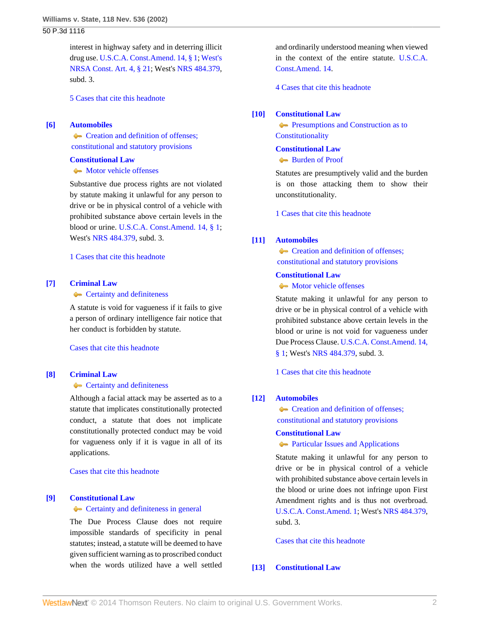interest in highway safety and in deterring illicit drug use. [U.S.C.A. Const.Amend. 14, § 1;](http://www.westlaw.com/Link/Document/FullText?findType=L&pubNum=1000546&cite=USCOAMENDXIVS1&originatingDoc=Ia70b58e8f53911d99439b076ef9ec4de&refType=LQ&originationContext=document&vr=3.0&rs=cblt1.0&transitionType=DocumentItem&contextData=(sc.Search)) [West's](http://www.westlaw.com/Link/Document/FullText?findType=L&pubNum=1000363&cite=NVCNART4S21&originatingDoc=Ia70b58e8f53911d99439b076ef9ec4de&refType=LQ&originationContext=document&vr=3.0&rs=cblt1.0&transitionType=DocumentItem&contextData=(sc.Search)) [NRSA Const. Art. 4, § 21](http://www.westlaw.com/Link/Document/FullText?findType=L&pubNum=1000363&cite=NVCNART4S21&originatingDoc=Ia70b58e8f53911d99439b076ef9ec4de&refType=LQ&originationContext=document&vr=3.0&rs=cblt1.0&transitionType=DocumentItem&contextData=(sc.Search)); West's [NRS 484.379](http://www.westlaw.com/Link/Document/FullText?findType=L&pubNum=1000363&cite=NVST484.379&originatingDoc=Ia70b58e8f53911d99439b076ef9ec4de&refType=LQ&originationContext=document&vr=3.0&rs=cblt1.0&transitionType=DocumentItem&contextData=(sc.Search)), subd. 3.

[5 Cases that cite this headnote](http://www.westlaw.com/Link/RelatedInformation/DocHeadnoteLink?docGuid=Ia70b58e8f53911d99439b076ef9ec4de&headnoteId=200248721900520100914223200&originationContext=document&vr=3.0&rs=cblt1.0&transitionType=CitingReferences&contextData=(sc.Search))

#### <span id="page-1-0"></span>**[\[6\]](#page-6-0) [Automobiles](http://www.westlaw.com/Browse/Home/KeyNumber/48A/View.html?docGuid=Ia70b58e8f53911d99439b076ef9ec4de&originationContext=document&vr=3.0&rs=cblt1.0&transitionType=DocumentItem&contextData=(sc.Search))**

**Creation and definition of offenses:**  [constitutional and statutory provisions](http://www.westlaw.com/Browse/Home/KeyNumber/48Ak316/View.html?docGuid=Ia70b58e8f53911d99439b076ef9ec4de&originationContext=document&vr=3.0&rs=cblt1.0&transitionType=DocumentItem&contextData=(sc.Search))

#### **[Constitutional Law](http://www.westlaw.com/Browse/Home/KeyNumber/92/View.html?docGuid=Ia70b58e8f53911d99439b076ef9ec4de&originationContext=document&vr=3.0&rs=cblt1.0&transitionType=DocumentItem&contextData=(sc.Search))**

• [Motor vehicle offenses](http://www.westlaw.com/Browse/Home/KeyNumber/92k4509(19)/View.html?docGuid=Ia70b58e8f53911d99439b076ef9ec4de&originationContext=document&vr=3.0&rs=cblt1.0&transitionType=DocumentItem&contextData=(sc.Search))

Substantive due process rights are not violated by statute making it unlawful for any person to drive or be in physical control of a vehicle with prohibited substance above certain levels in the blood or urine. [U.S.C.A. Const.Amend. 14, § 1;](http://www.westlaw.com/Link/Document/FullText?findType=L&pubNum=1000546&cite=USCOAMENDXIVS1&originatingDoc=Ia70b58e8f53911d99439b076ef9ec4de&refType=LQ&originationContext=document&vr=3.0&rs=cblt1.0&transitionType=DocumentItem&contextData=(sc.Search)) West's [NRS 484.379,](http://www.westlaw.com/Link/Document/FullText?findType=L&pubNum=1000363&cite=NVST484.379&originatingDoc=Ia70b58e8f53911d99439b076ef9ec4de&refType=LQ&originationContext=document&vr=3.0&rs=cblt1.0&transitionType=DocumentItem&contextData=(sc.Search)) subd. 3.

[1 Cases that cite this headnote](http://www.westlaw.com/Link/RelatedInformation/DocHeadnoteLink?docGuid=Ia70b58e8f53911d99439b076ef9ec4de&headnoteId=200248721900620100914223200&originationContext=document&vr=3.0&rs=cblt1.0&transitionType=CitingReferences&contextData=(sc.Search))

# <span id="page-1-1"></span>**[\[7\]](#page-6-1) [Criminal Law](http://www.westlaw.com/Browse/Home/KeyNumber/110/View.html?docGuid=Ia70b58e8f53911d99439b076ef9ec4de&originationContext=document&vr=3.0&rs=cblt1.0&transitionType=DocumentItem&contextData=(sc.Search))**

# **[Certainty and definiteness](http://www.westlaw.com/Browse/Home/KeyNumber/110k13.1/View.html?docGuid=Ia70b58e8f53911d99439b076ef9ec4de&originationContext=document&vr=3.0&rs=cblt1.0&transitionType=DocumentItem&contextData=(sc.Search))**

A statute is void for vagueness if it fails to give a person of ordinary intelligence fair notice that her conduct is forbidden by statute.

[Cases that cite this headnote](http://www.westlaw.com/Link/RelatedInformation/DocHeadnoteLink?docGuid=Ia70b58e8f53911d99439b076ef9ec4de&headnoteId=200248721900720100914223200&originationContext=document&vr=3.0&rs=cblt1.0&transitionType=CitingReferences&contextData=(sc.Search))

# <span id="page-1-2"></span>**[\[8\]](#page-6-2) [Criminal Law](http://www.westlaw.com/Browse/Home/KeyNumber/110/View.html?docGuid=Ia70b58e8f53911d99439b076ef9ec4de&originationContext=document&vr=3.0&rs=cblt1.0&transitionType=DocumentItem&contextData=(sc.Search))**

# **[Certainty and definiteness](http://www.westlaw.com/Browse/Home/KeyNumber/110k13.1/View.html?docGuid=Ia70b58e8f53911d99439b076ef9ec4de&originationContext=document&vr=3.0&rs=cblt1.0&transitionType=DocumentItem&contextData=(sc.Search))**

Although a facial attack may be asserted as to a statute that implicates constitutionally protected conduct, a statute that does not implicate constitutionally protected conduct may be void for vagueness only if it is vague in all of its applications.

[Cases that cite this headnote](http://www.westlaw.com/Link/RelatedInformation/DocHeadnoteLink?docGuid=Ia70b58e8f53911d99439b076ef9ec4de&headnoteId=200248721900820100914223200&originationContext=document&vr=3.0&rs=cblt1.0&transitionType=CitingReferences&contextData=(sc.Search))

### <span id="page-1-3"></span>**[\[9\]](#page-6-3) [Constitutional Law](http://www.westlaw.com/Browse/Home/KeyNumber/92/View.html?docGuid=Ia70b58e8f53911d99439b076ef9ec4de&originationContext=document&vr=3.0&rs=cblt1.0&transitionType=DocumentItem&contextData=(sc.Search))**

**[Certainty and definiteness in general](http://www.westlaw.com/Browse/Home/KeyNumber/92k4505/View.html?docGuid=Ia70b58e8f53911d99439b076ef9ec4de&originationContext=document&vr=3.0&rs=cblt1.0&transitionType=DocumentItem&contextData=(sc.Search))** 

The Due Process Clause does not require impossible standards of specificity in penal statutes; instead, a statute will be deemed to have given sufficient warning as to proscribed conduct when the words utilized have a well settled

and ordinarily understood meaning when viewed in the context of the entire statute. [U.S.C.A.](http://www.westlaw.com/Link/Document/FullText?findType=L&pubNum=1000546&cite=USCOAMENDXIV&originatingDoc=Ia70b58e8f53911d99439b076ef9ec4de&refType=LQ&originationContext=document&vr=3.0&rs=cblt1.0&transitionType=DocumentItem&contextData=(sc.Search)) [Const.Amend. 14.](http://www.westlaw.com/Link/Document/FullText?findType=L&pubNum=1000546&cite=USCOAMENDXIV&originatingDoc=Ia70b58e8f53911d99439b076ef9ec4de&refType=LQ&originationContext=document&vr=3.0&rs=cblt1.0&transitionType=DocumentItem&contextData=(sc.Search))

[4 Cases that cite this headnote](http://www.westlaw.com/Link/RelatedInformation/DocHeadnoteLink?docGuid=Ia70b58e8f53911d99439b076ef9ec4de&headnoteId=200248721900920100914223200&originationContext=document&vr=3.0&rs=cblt1.0&transitionType=CitingReferences&contextData=(sc.Search))

#### <span id="page-1-4"></span>**[\[10\]](#page-6-4) [Constitutional Law](http://www.westlaw.com/Browse/Home/KeyNumber/92/View.html?docGuid=Ia70b58e8f53911d99439b076ef9ec4de&originationContext=document&vr=3.0&rs=cblt1.0&transitionType=DocumentItem&contextData=(sc.Search))**

**[Presumptions and Construction as to](http://www.westlaw.com/Browse/Home/KeyNumber/92VI(C)3/View.html?docGuid=Ia70b58e8f53911d99439b076ef9ec4de&originationContext=document&vr=3.0&rs=cblt1.0&transitionType=DocumentItem&contextData=(sc.Search)) [Constitutionality](http://www.westlaw.com/Browse/Home/KeyNumber/92VI(C)3/View.html?docGuid=Ia70b58e8f53911d99439b076ef9ec4de&originationContext=document&vr=3.0&rs=cblt1.0&transitionType=DocumentItem&contextData=(sc.Search))** 

#### **[Constitutional Law](http://www.westlaw.com/Browse/Home/KeyNumber/92/View.html?docGuid=Ia70b58e8f53911d99439b076ef9ec4de&originationContext=document&vr=3.0&rs=cblt1.0&transitionType=DocumentItem&contextData=(sc.Search))**

# [Burden of Proof](http://www.westlaw.com/Browse/Home/KeyNumber/92VI(C)4/View.html?docGuid=Ia70b58e8f53911d99439b076ef9ec4de&originationContext=document&vr=3.0&rs=cblt1.0&transitionType=DocumentItem&contextData=(sc.Search))

Statutes are presumptively valid and the burden is on those attacking them to show their unconstitutionality.

[1 Cases that cite this headnote](http://www.westlaw.com/Link/RelatedInformation/DocHeadnoteLink?docGuid=Ia70b58e8f53911d99439b076ef9ec4de&headnoteId=200248721901020100914223200&originationContext=document&vr=3.0&rs=cblt1.0&transitionType=CitingReferences&contextData=(sc.Search))

# <span id="page-1-5"></span>**[\[11\]](#page-6-5) [Automobiles](http://www.westlaw.com/Browse/Home/KeyNumber/48A/View.html?docGuid=Ia70b58e8f53911d99439b076ef9ec4de&originationContext=document&vr=3.0&rs=cblt1.0&transitionType=DocumentItem&contextData=(sc.Search))**

Creation and definition of offenses;  [constitutional and statutory provisions](http://www.westlaw.com/Browse/Home/KeyNumber/48Ak316/View.html?docGuid=Ia70b58e8f53911d99439b076ef9ec4de&originationContext=document&vr=3.0&rs=cblt1.0&transitionType=DocumentItem&contextData=(sc.Search))

### **[Constitutional Law](http://www.westlaw.com/Browse/Home/KeyNumber/92/View.html?docGuid=Ia70b58e8f53911d99439b076ef9ec4de&originationContext=document&vr=3.0&rs=cblt1.0&transitionType=DocumentItem&contextData=(sc.Search))**

 $\triangle$  [Motor vehicle offenses](http://www.westlaw.com/Browse/Home/KeyNumber/92k4509(19)/View.html?docGuid=Ia70b58e8f53911d99439b076ef9ec4de&originationContext=document&vr=3.0&rs=cblt1.0&transitionType=DocumentItem&contextData=(sc.Search))

Statute making it unlawful for any person to drive or be in physical control of a vehicle with prohibited substance above certain levels in the blood or urine is not void for vagueness under Due Process Clause. [U.S.C.A. Const.Amend. 14,](http://www.westlaw.com/Link/Document/FullText?findType=L&pubNum=1000546&cite=USCOAMENDXIVS1&originatingDoc=Ia70b58e8f53911d99439b076ef9ec4de&refType=LQ&originationContext=document&vr=3.0&rs=cblt1.0&transitionType=DocumentItem&contextData=(sc.Search)) [§ 1](http://www.westlaw.com/Link/Document/FullText?findType=L&pubNum=1000546&cite=USCOAMENDXIVS1&originatingDoc=Ia70b58e8f53911d99439b076ef9ec4de&refType=LQ&originationContext=document&vr=3.0&rs=cblt1.0&transitionType=DocumentItem&contextData=(sc.Search)); West's [NRS 484.379](http://www.westlaw.com/Link/Document/FullText?findType=L&pubNum=1000363&cite=NVST484.379&originatingDoc=Ia70b58e8f53911d99439b076ef9ec4de&refType=LQ&originationContext=document&vr=3.0&rs=cblt1.0&transitionType=DocumentItem&contextData=(sc.Search)), subd. 3.

[1 Cases that cite this headnote](http://www.westlaw.com/Link/RelatedInformation/DocHeadnoteLink?docGuid=Ia70b58e8f53911d99439b076ef9ec4de&headnoteId=200248721901120100914223200&originationContext=document&vr=3.0&rs=cblt1.0&transitionType=CitingReferences&contextData=(sc.Search))

### <span id="page-1-6"></span>**[\[12\]](#page-7-0) [Automobiles](http://www.westlaw.com/Browse/Home/KeyNumber/48A/View.html?docGuid=Ia70b58e8f53911d99439b076ef9ec4de&originationContext=document&vr=3.0&rs=cblt1.0&transitionType=DocumentItem&contextData=(sc.Search))**

Creation and definition of offenses;  [constitutional and statutory provisions](http://www.westlaw.com/Browse/Home/KeyNumber/48Ak316/View.html?docGuid=Ia70b58e8f53911d99439b076ef9ec4de&originationContext=document&vr=3.0&rs=cblt1.0&transitionType=DocumentItem&contextData=(sc.Search))

## **[Constitutional Law](http://www.westlaw.com/Browse/Home/KeyNumber/92/View.html?docGuid=Ia70b58e8f53911d99439b076ef9ec4de&originationContext=document&vr=3.0&rs=cblt1.0&transitionType=DocumentItem&contextData=(sc.Search))**

# **[Particular Issues and Applications](http://www.westlaw.com/Browse/Home/KeyNumber/92X(B)/View.html?docGuid=Ia70b58e8f53911d99439b076ef9ec4de&originationContext=document&vr=3.0&rs=cblt1.0&transitionType=DocumentItem&contextData=(sc.Search))**

Statute making it unlawful for any person to drive or be in physical control of a vehicle with prohibited substance above certain levels in the blood or urine does not infringe upon First Amendment rights and is thus not overbroad. [U.S.C.A. Const.Amend. 1;](http://www.westlaw.com/Link/Document/FullText?findType=L&pubNum=1000546&cite=USCOAMENDI&originatingDoc=Ia70b58e8f53911d99439b076ef9ec4de&refType=LQ&originationContext=document&vr=3.0&rs=cblt1.0&transitionType=DocumentItem&contextData=(sc.Search)) West's [NRS 484.379](http://www.westlaw.com/Link/Document/FullText?findType=L&pubNum=1000363&cite=NVST484.379&originatingDoc=Ia70b58e8f53911d99439b076ef9ec4de&refType=LQ&originationContext=document&vr=3.0&rs=cblt1.0&transitionType=DocumentItem&contextData=(sc.Search)), subd. 3.

[Cases that cite this headnote](http://www.westlaw.com/Link/RelatedInformation/DocHeadnoteLink?docGuid=Ia70b58e8f53911d99439b076ef9ec4de&headnoteId=200248721901220100914223200&originationContext=document&vr=3.0&rs=cblt1.0&transitionType=CitingReferences&contextData=(sc.Search))

# <span id="page-1-7"></span>**[\[13\]](#page-7-1) [Constitutional Law](http://www.westlaw.com/Browse/Home/KeyNumber/92/View.html?docGuid=Ia70b58e8f53911d99439b076ef9ec4de&originationContext=document&vr=3.0&rs=cblt1.0&transitionType=DocumentItem&contextData=(sc.Search))**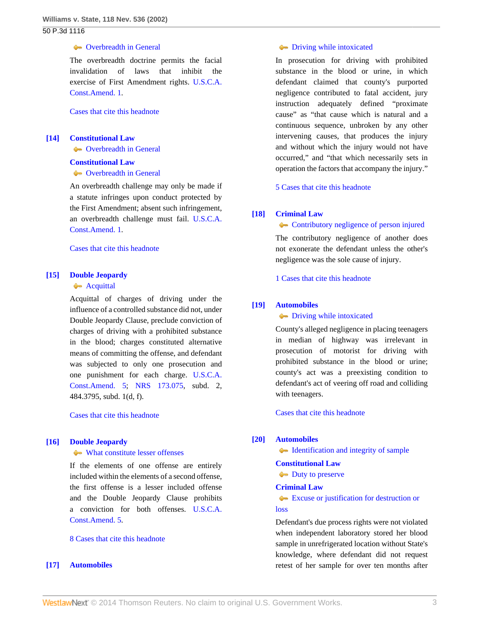# **Coverbreadth in General**

The overbreadth doctrine permits the facial invalidation of laws that inhibit the exercise of First Amendment rights. [U.S.C.A.](http://www.westlaw.com/Link/Document/FullText?findType=L&pubNum=1000546&cite=USCOAMENDI&originatingDoc=Ia70b58e8f53911d99439b076ef9ec4de&refType=LQ&originationContext=document&vr=3.0&rs=cblt1.0&transitionType=DocumentItem&contextData=(sc.Search)) [Const.Amend. 1.](http://www.westlaw.com/Link/Document/FullText?findType=L&pubNum=1000546&cite=USCOAMENDI&originatingDoc=Ia70b58e8f53911d99439b076ef9ec4de&refType=LQ&originationContext=document&vr=3.0&rs=cblt1.0&transitionType=DocumentItem&contextData=(sc.Search))

[Cases that cite this headnote](http://www.westlaw.com/Link/RelatedInformation/DocHeadnoteLink?docGuid=Ia70b58e8f53911d99439b076ef9ec4de&headnoteId=200248721901320100914223200&originationContext=document&vr=3.0&rs=cblt1.0&transitionType=CitingReferences&contextData=(sc.Search))

# <span id="page-2-0"></span>**[\[14\]](#page-7-2) [Constitutional Law](http://www.westlaw.com/Browse/Home/KeyNumber/92/View.html?docGuid=Ia70b58e8f53911d99439b076ef9ec4de&originationContext=document&vr=3.0&rs=cblt1.0&transitionType=DocumentItem&contextData=(sc.Search))**

**Coverbreadth in General** 

#### **[Constitutional Law](http://www.westlaw.com/Browse/Home/KeyNumber/92/View.html?docGuid=Ia70b58e8f53911d99439b076ef9ec4de&originationContext=document&vr=3.0&rs=cblt1.0&transitionType=DocumentItem&contextData=(sc.Search))**

**Coverbreadth in General** 

An overbreadth challenge may only be made if a statute infringes upon conduct protected by the First Amendment; absent such infringement, an overbreadth challenge must fail. [U.S.C.A.](http://www.westlaw.com/Link/Document/FullText?findType=L&pubNum=1000546&cite=USCOAMENDI&originatingDoc=Ia70b58e8f53911d99439b076ef9ec4de&refType=LQ&originationContext=document&vr=3.0&rs=cblt1.0&transitionType=DocumentItem&contextData=(sc.Search)) [Const.Amend. 1.](http://www.westlaw.com/Link/Document/FullText?findType=L&pubNum=1000546&cite=USCOAMENDI&originatingDoc=Ia70b58e8f53911d99439b076ef9ec4de&refType=LQ&originationContext=document&vr=3.0&rs=cblt1.0&transitionType=DocumentItem&contextData=(sc.Search))

[Cases that cite this headnote](http://www.westlaw.com/Link/RelatedInformation/DocHeadnoteLink?docGuid=Ia70b58e8f53911d99439b076ef9ec4de&headnoteId=200248721901420100914223200&originationContext=document&vr=3.0&rs=cblt1.0&transitionType=CitingReferences&contextData=(sc.Search))

### <span id="page-2-1"></span>**[\[15\]](#page-7-3) [Double Jeopardy](http://www.westlaw.com/Browse/Home/KeyNumber/135H/View.html?docGuid=Ia70b58e8f53911d99439b076ef9ec4de&originationContext=document&vr=3.0&rs=cblt1.0&transitionType=DocumentItem&contextData=(sc.Search))**

# **[Acquittal](http://www.westlaw.com/Browse/Home/KeyNumber/135Hk100/View.html?docGuid=Ia70b58e8f53911d99439b076ef9ec4de&originationContext=document&vr=3.0&rs=cblt1.0&transitionType=DocumentItem&contextData=(sc.Search))**

Acquittal of charges of driving under the influence of a controlled substance did not, under Double Jeopardy Clause, preclude conviction of charges of driving with a prohibited substance in the blood; charges constituted alternative means of committing the offense, and defendant was subjected to only one prosecution and one punishment for each charge. [U.S.C.A.](http://www.westlaw.com/Link/Document/FullText?findType=L&pubNum=1000546&cite=USCOAMENDV&originatingDoc=Ia70b58e8f53911d99439b076ef9ec4de&refType=LQ&originationContext=document&vr=3.0&rs=cblt1.0&transitionType=DocumentItem&contextData=(sc.Search)) [Const.Amend. 5](http://www.westlaw.com/Link/Document/FullText?findType=L&pubNum=1000546&cite=USCOAMENDV&originatingDoc=Ia70b58e8f53911d99439b076ef9ec4de&refType=LQ&originationContext=document&vr=3.0&rs=cblt1.0&transitionType=DocumentItem&contextData=(sc.Search)); [NRS 173.075](http://www.westlaw.com/Link/Document/FullText?findType=L&pubNum=1000363&cite=NVST173.075&originatingDoc=Ia70b58e8f53911d99439b076ef9ec4de&refType=LQ&originationContext=document&vr=3.0&rs=cblt1.0&transitionType=DocumentItem&contextData=(sc.Search)), subd. 2, 484.3795, subd. 1(d, f).

[Cases that cite this headnote](http://www.westlaw.com/Link/RelatedInformation/DocHeadnoteLink?docGuid=Ia70b58e8f53911d99439b076ef9ec4de&headnoteId=200248721901520100914223200&originationContext=document&vr=3.0&rs=cblt1.0&transitionType=CitingReferences&contextData=(sc.Search))

## <span id="page-2-2"></span>**[\[16\]](#page-7-4) [Double Jeopardy](http://www.westlaw.com/Browse/Home/KeyNumber/135H/View.html?docGuid=Ia70b58e8f53911d99439b076ef9ec4de&originationContext=document&vr=3.0&rs=cblt1.0&transitionType=DocumentItem&contextData=(sc.Search))**

#### [What constitute lesser offenses](http://www.westlaw.com/Browse/Home/KeyNumber/135Hk162/View.html?docGuid=Ia70b58e8f53911d99439b076ef9ec4de&originationContext=document&vr=3.0&rs=cblt1.0&transitionType=DocumentItem&contextData=(sc.Search))

If the elements of one offense are entirely included within the elements of a second offense, the first offense is a lesser included offense and the Double Jeopardy Clause prohibits a conviction for both offenses. [U.S.C.A.](http://www.westlaw.com/Link/Document/FullText?findType=L&pubNum=1000546&cite=USCOAMENDV&originatingDoc=Ia70b58e8f53911d99439b076ef9ec4de&refType=LQ&originationContext=document&vr=3.0&rs=cblt1.0&transitionType=DocumentItem&contextData=(sc.Search)) [Const.Amend. 5.](http://www.westlaw.com/Link/Document/FullText?findType=L&pubNum=1000546&cite=USCOAMENDV&originatingDoc=Ia70b58e8f53911d99439b076ef9ec4de&refType=LQ&originationContext=document&vr=3.0&rs=cblt1.0&transitionType=DocumentItem&contextData=(sc.Search))

#### [8 Cases that cite this headnote](http://www.westlaw.com/Link/RelatedInformation/DocHeadnoteLink?docGuid=Ia70b58e8f53911d99439b076ef9ec4de&headnoteId=200248721901620100914223200&originationContext=document&vr=3.0&rs=cblt1.0&transitionType=CitingReferences&contextData=(sc.Search))

### <span id="page-2-3"></span>**[\[17\]](#page-8-0) [Automobiles](http://www.westlaw.com/Browse/Home/KeyNumber/48A/View.html?docGuid=Ia70b58e8f53911d99439b076ef9ec4de&originationContext=document&vr=3.0&rs=cblt1.0&transitionType=DocumentItem&contextData=(sc.Search))**

# **[Driving while intoxicated](http://www.westlaw.com/Browse/Home/KeyNumber/48Ak357(6)/View.html?docGuid=Ia70b58e8f53911d99439b076ef9ec4de&originationContext=document&vr=3.0&rs=cblt1.0&transitionType=DocumentItem&contextData=(sc.Search))**

In prosecution for driving with prohibited substance in the blood or urine, in which defendant claimed that county's purported negligence contributed to fatal accident, jury instruction adequately defined "proximate cause" as "that cause which is natural and a continuous sequence, unbroken by any other intervening causes, that produces the injury and without which the injury would not have occurred," and "that which necessarily sets in operation the factors that accompany the injury."

[5 Cases that cite this headnote](http://www.westlaw.com/Link/RelatedInformation/DocHeadnoteLink?docGuid=Ia70b58e8f53911d99439b076ef9ec4de&headnoteId=200248721901720100914223200&originationContext=document&vr=3.0&rs=cblt1.0&transitionType=CitingReferences&contextData=(sc.Search))

#### <span id="page-2-4"></span>**[\[18\]](#page-8-1) [Criminal Law](http://www.westlaw.com/Browse/Home/KeyNumber/110/View.html?docGuid=Ia70b58e8f53911d99439b076ef9ec4de&originationContext=document&vr=3.0&rs=cblt1.0&transitionType=DocumentItem&contextData=(sc.Search))**

**[Contributory negligence of person injured](http://www.westlaw.com/Browse/Home/KeyNumber/110k35/View.html?docGuid=Ia70b58e8f53911d99439b076ef9ec4de&originationContext=document&vr=3.0&rs=cblt1.0&transitionType=DocumentItem&contextData=(sc.Search))** 

The contributory negligence of another does not exonerate the defendant unless the other's negligence was the sole cause of injury.

[1 Cases that cite this headnote](http://www.westlaw.com/Link/RelatedInformation/DocHeadnoteLink?docGuid=Ia70b58e8f53911d99439b076ef9ec4de&headnoteId=200248721901820100914223200&originationContext=document&vr=3.0&rs=cblt1.0&transitionType=CitingReferences&contextData=(sc.Search))

### <span id="page-2-5"></span>**[\[19\]](#page-8-2) [Automobiles](http://www.westlaw.com/Browse/Home/KeyNumber/48A/View.html?docGuid=Ia70b58e8f53911d99439b076ef9ec4de&originationContext=document&vr=3.0&rs=cblt1.0&transitionType=DocumentItem&contextData=(sc.Search))**

# **[Driving while intoxicated](http://www.westlaw.com/Browse/Home/KeyNumber/48Ak354(6)/View.html?docGuid=Ia70b58e8f53911d99439b076ef9ec4de&originationContext=document&vr=3.0&rs=cblt1.0&transitionType=DocumentItem&contextData=(sc.Search))**

County's alleged negligence in placing teenagers in median of highway was irrelevant in prosecution of motorist for driving with prohibited substance in the blood or urine; county's act was a preexisting condition to defendant's act of veering off road and colliding with teenagers.

[Cases that cite this headnote](http://www.westlaw.com/Link/RelatedInformation/DocHeadnoteLink?docGuid=Ia70b58e8f53911d99439b076ef9ec4de&headnoteId=200248721901920100914223200&originationContext=document&vr=3.0&rs=cblt1.0&transitionType=CitingReferences&contextData=(sc.Search))

#### <span id="page-2-6"></span>**[\[20\]](#page-9-0) [Automobiles](http://www.westlaw.com/Browse/Home/KeyNumber/48A/View.html?docGuid=Ia70b58e8f53911d99439b076ef9ec4de&originationContext=document&vr=3.0&rs=cblt1.0&transitionType=DocumentItem&contextData=(sc.Search))**

[Identification and integrity of sample](http://www.westlaw.com/Browse/Home/KeyNumber/48Ak425/View.html?docGuid=Ia70b58e8f53911d99439b076ef9ec4de&originationContext=document&vr=3.0&rs=cblt1.0&transitionType=DocumentItem&contextData=(sc.Search))

#### **[Constitutional Law](http://www.westlaw.com/Browse/Home/KeyNumber/92/View.html?docGuid=Ia70b58e8f53911d99439b076ef9ec4de&originationContext=document&vr=3.0&rs=cblt1.0&transitionType=DocumentItem&contextData=(sc.Search))**

[Duty to preserve](http://www.westlaw.com/Browse/Home/KeyNumber/92k4594(8)/View.html?docGuid=Ia70b58e8f53911d99439b076ef9ec4de&originationContext=document&vr=3.0&rs=cblt1.0&transitionType=DocumentItem&contextData=(sc.Search))

# **[Criminal Law](http://www.westlaw.com/Browse/Home/KeyNumber/110/View.html?docGuid=Ia70b58e8f53911d99439b076ef9ec4de&originationContext=document&vr=3.0&rs=cblt1.0&transitionType=DocumentItem&contextData=(sc.Search))**

# [Excuse or justification for destruction or](http://www.westlaw.com/Browse/Home/KeyNumber/110k2011/View.html?docGuid=Ia70b58e8f53911d99439b076ef9ec4de&originationContext=document&vr=3.0&rs=cblt1.0&transitionType=DocumentItem&contextData=(sc.Search)) [loss](http://www.westlaw.com/Browse/Home/KeyNumber/110k2011/View.html?docGuid=Ia70b58e8f53911d99439b076ef9ec4de&originationContext=document&vr=3.0&rs=cblt1.0&transitionType=DocumentItem&contextData=(sc.Search))

Defendant's due process rights were not violated when independent laboratory stored her blood sample in unrefrigerated location without State's knowledge, where defendant did not request retest of her sample for over ten months after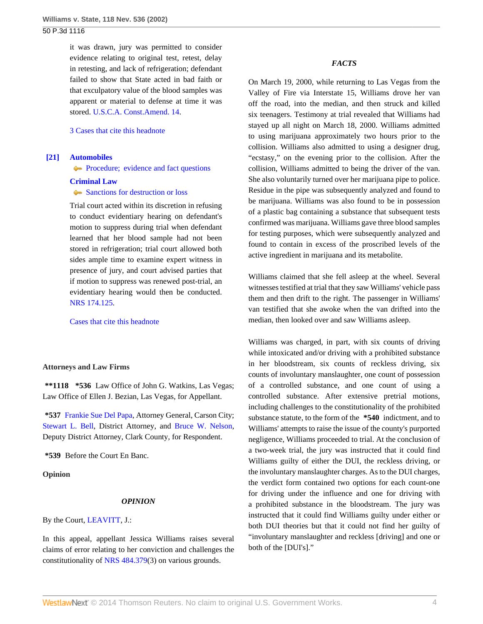it was drawn, jury was permitted to consider evidence relating to original test, retest, delay in retesting, and lack of refrigeration; defendant failed to show that State acted in bad faith or that exculpatory value of the blood samples was apparent or material to defense at time it was stored. [U.S.C.A. Const.Amend. 14](http://www.westlaw.com/Link/Document/FullText?findType=L&pubNum=1000546&cite=USCOAMENDXIV&originatingDoc=Ia70b58e8f53911d99439b076ef9ec4de&refType=LQ&originationContext=document&vr=3.0&rs=cblt1.0&transitionType=DocumentItem&contextData=(sc.Search)).

[3 Cases that cite this headnote](http://www.westlaw.com/Link/RelatedInformation/DocHeadnoteLink?docGuid=Ia70b58e8f53911d99439b076ef9ec4de&headnoteId=200248721902020100914223200&originationContext=document&vr=3.0&rs=cblt1.0&transitionType=CitingReferences&contextData=(sc.Search))

# <span id="page-3-0"></span>**[\[21\]](#page-9-1) [Automobiles](http://www.westlaw.com/Browse/Home/KeyNumber/48A/View.html?docGuid=Ia70b58e8f53911d99439b076ef9ec4de&originationContext=document&vr=3.0&rs=cblt1.0&transitionType=DocumentItem&contextData=(sc.Search))**

**Procedure**; evidence and fact questions

## **[Criminal Law](http://www.westlaw.com/Browse/Home/KeyNumber/110/View.html?docGuid=Ia70b58e8f53911d99439b076ef9ec4de&originationContext=document&vr=3.0&rs=cblt1.0&transitionType=DocumentItem&contextData=(sc.Search))**

# [Sanctions for destruction or loss](http://www.westlaw.com/Browse/Home/KeyNumber/110k2012/View.html?docGuid=Ia70b58e8f53911d99439b076ef9ec4de&originationContext=document&vr=3.0&rs=cblt1.0&transitionType=DocumentItem&contextData=(sc.Search))

Trial court acted within its discretion in refusing to conduct evidentiary hearing on defendant's motion to suppress during trial when defendant learned that her blood sample had not been stored in refrigeration; trial court allowed both sides ample time to examine expert witness in presence of jury, and court advised parties that if motion to suppress was renewed post-trial, an evidentiary hearing would then be conducted. [NRS 174.125.](http://www.westlaw.com/Link/Document/FullText?findType=L&pubNum=1000363&cite=NVST174.125&originatingDoc=Ia70b58e8f53911d99439b076ef9ec4de&refType=LQ&originationContext=document&vr=3.0&rs=cblt1.0&transitionType=DocumentItem&contextData=(sc.Search))

[Cases that cite this headnote](http://www.westlaw.com/Link/RelatedInformation/DocHeadnoteLink?docGuid=Ia70b58e8f53911d99439b076ef9ec4de&headnoteId=200248721902120100914223200&originationContext=document&vr=3.0&rs=cblt1.0&transitionType=CitingReferences&contextData=(sc.Search))

## **Attorneys and Law Firms**

**\*\*1118 \*536** Law Office of John G. Watkins, Las Vegas; Law Office of Ellen J. Bezian, Las Vegas, for Appellant.

**\*537** [Frankie Sue Del Papa,](http://www.westlaw.com/Link/Document/FullText?findType=h&pubNum=176284&cite=0212943501&originatingDoc=Ia70b58e8f53911d99439b076ef9ec4de&refType=RQ&originationContext=document&vr=3.0&rs=cblt1.0&transitionType=DocumentItem&contextData=(sc.Search)) Attorney General, Carson City; [Stewart L. Bell,](http://www.westlaw.com/Link/Document/FullText?findType=h&pubNum=176284&cite=0289548101&originatingDoc=Ia70b58e8f53911d99439b076ef9ec4de&refType=RQ&originationContext=document&vr=3.0&rs=cblt1.0&transitionType=DocumentItem&contextData=(sc.Search)) District Attorney, and [Bruce W. Nelson](http://www.westlaw.com/Link/Document/FullText?findType=h&pubNum=176284&cite=0207248901&originatingDoc=Ia70b58e8f53911d99439b076ef9ec4de&refType=RQ&originationContext=document&vr=3.0&rs=cblt1.0&transitionType=DocumentItem&contextData=(sc.Search)), Deputy District Attorney, Clark County, for Respondent.

**\*539** Before the Court En Banc.

**Opinion**

## *OPINION*

By the Court, [LEAVITT,](http://www.westlaw.com/Link/Document/FullText?findType=h&pubNum=176284&cite=0231760201&originatingDoc=Ia70b58e8f53911d99439b076ef9ec4de&refType=RQ&originationContext=document&vr=3.0&rs=cblt1.0&transitionType=DocumentItem&contextData=(sc.Search)) J.:

In this appeal, appellant Jessica Williams raises several claims of error relating to her conviction and challenges the constitutionality of [NRS 484.379\(](http://www.westlaw.com/Link/Document/FullText?findType=L&pubNum=1000363&cite=NVST484.379&originatingDoc=Ia70b58e8f53911d99439b076ef9ec4de&refType=LQ&originationContext=document&vr=3.0&rs=cblt1.0&transitionType=DocumentItem&contextData=(sc.Search))3) on various grounds.

# *FACTS*

On March 19, 2000, while returning to Las Vegas from the Valley of Fire via Interstate 15, Williams drove her van off the road, into the median, and then struck and killed six teenagers. Testimony at trial revealed that Williams had stayed up all night on March 18, 2000. Williams admitted to using marijuana approximately two hours prior to the collision. Williams also admitted to using a designer drug, "ecstasy," on the evening prior to the collision. After the collision, Williams admitted to being the driver of the van. She also voluntarily turned over her marijuana pipe to police. Residue in the pipe was subsequently analyzed and found to be marijuana. Williams was also found to be in possession of a plastic bag containing a substance that subsequent tests confirmed was marijuana. Williams gave three blood samples for testing purposes, which were subsequently analyzed and found to contain in excess of the proscribed levels of the active ingredient in marijuana and its metabolite.

Williams claimed that she fell asleep at the wheel. Several witnesses testified at trial that they saw Williams' vehicle pass them and then drift to the right. The passenger in Williams' van testified that she awoke when the van drifted into the median, then looked over and saw Williams asleep.

Williams was charged, in part, with six counts of driving while intoxicated and/or driving with a prohibited substance in her bloodstream, six counts of reckless driving, six counts of involuntary manslaughter, one count of possession of a controlled substance, and one count of using a controlled substance. After extensive pretrial motions, including challenges to the constitutionality of the prohibited substance statute, to the form of the **\*540** indictment, and to Williams' attempts to raise the issue of the county's purported negligence, Williams proceeded to trial. At the conclusion of a two-week trial, the jury was instructed that it could find Williams guilty of either the DUI, the reckless driving, or the involuntary manslaughter charges. As to the DUI charges, the verdict form contained two options for each count-one for driving under the influence and one for driving with a prohibited substance in the bloodstream. The jury was instructed that it could find Williams guilty under either or both DUI theories but that it could not find her guilty of "involuntary manslaughter and reckless [driving] and one or both of the [DUI's]."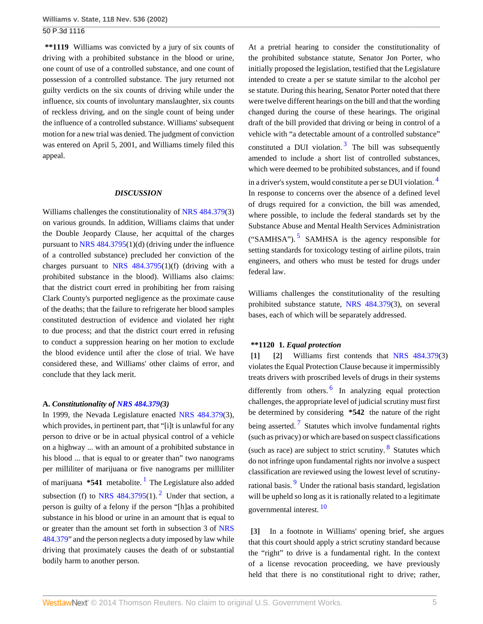**\*\*1119** Williams was convicted by a jury of six counts of driving with a prohibited substance in the blood or urine, one count of use of a controlled substance, and one count of possession of a controlled substance. The jury returned not guilty verdicts on the six counts of driving while under the influence, six counts of involuntary manslaughter, six counts of reckless driving, and on the single count of being under the influence of a controlled substance. Williams' subsequent motion for a new trial was denied. The judgment of conviction was entered on April 5, 2001, and Williams timely filed this appeal.

#### *DISCUSSION*

Williams challenges the constitutionality of [NRS 484.379](http://www.westlaw.com/Link/Document/FullText?findType=L&pubNum=1000363&cite=NVST484.379&originatingDoc=Ia70b58e8f53911d99439b076ef9ec4de&refType=LQ&originationContext=document&vr=3.0&rs=cblt1.0&transitionType=DocumentItem&contextData=(sc.Search))(3) on various grounds. In addition, Williams claims that under the Double Jeopardy Clause, her acquittal of the charges pursuant to [NRS 484.3795](http://www.westlaw.com/Link/Document/FullText?findType=L&pubNum=1000363&cite=NVST484.3795&originatingDoc=Ia70b58e8f53911d99439b076ef9ec4de&refType=LQ&originationContext=document&vr=3.0&rs=cblt1.0&transitionType=DocumentItem&contextData=(sc.Search))(1)(d) (driving under the influence of a controlled substance) precluded her conviction of the charges pursuant to [NRS 484.3795\(](http://www.westlaw.com/Link/Document/FullText?findType=L&pubNum=1000363&cite=NVST484.3795&originatingDoc=Ia70b58e8f53911d99439b076ef9ec4de&refType=LQ&originationContext=document&vr=3.0&rs=cblt1.0&transitionType=DocumentItem&contextData=(sc.Search))1)(f) (driving with a prohibited substance in the blood). Williams also claims: that the district court erred in prohibiting her from raising Clark County's purported negligence as the proximate cause of the deaths; that the failure to refrigerate her blood samples constituted destruction of evidence and violated her right to due process; and that the district court erred in refusing to conduct a suppression hearing on her motion to exclude the blood evidence until after the close of trial. We have considered these, and Williams' other claims of error, and conclude that they lack merit.

## **A.** *Constitutionality of [NRS 484.379\(](http://www.westlaw.com/Link/Document/FullText?findType=L&pubNum=1000363&cite=NVST484.379&originatingDoc=Ia70b58e8f53911d99439b076ef9ec4de&refType=LQ&originationContext=document&vr=3.0&rs=cblt1.0&transitionType=DocumentItem&contextData=(sc.Search))3)*

<span id="page-4-3"></span>In 1999, the Nevada Legislature enacted [NRS 484.379\(](http://www.westlaw.com/Link/Document/FullText?findType=L&pubNum=1000363&cite=NVST484.379&originatingDoc=Ia70b58e8f53911d99439b076ef9ec4de&refType=LQ&originationContext=document&vr=3.0&rs=cblt1.0&transitionType=DocumentItem&contextData=(sc.Search))3), which provides, in pertinent part, that "[i]t is unlawful for any person to drive or be in actual physical control of a vehicle on a highway ... with an amount of a prohibited substance in his blood ... that is equal to or greater than" two nanograms per milliliter of marijuana or five nanograms per milliliter of marijuana \***54[1](#page-10-0)** metabolite. <sup>1</sup> The Legislature also added subsection (f) to NRS  $484.3795(1)$ .<sup>[2](#page-10-1)</sup> Under that section, a person is guilty of a felony if the person "[h]as a prohibited substance in his blood or urine in an amount that is equal to or greater than the amount set forth in subsection 3 of [NRS](http://www.westlaw.com/Link/Document/FullText?findType=L&pubNum=1000363&cite=NVST484.379&originatingDoc=Ia70b58e8f53911d99439b076ef9ec4de&refType=LQ&originationContext=document&vr=3.0&rs=cblt1.0&transitionType=DocumentItem&contextData=(sc.Search)) [484.379](http://www.westlaw.com/Link/Document/FullText?findType=L&pubNum=1000363&cite=NVST484.379&originatingDoc=Ia70b58e8f53911d99439b076ef9ec4de&refType=LQ&originationContext=document&vr=3.0&rs=cblt1.0&transitionType=DocumentItem&contextData=(sc.Search))" and the person neglects a duty imposed by law while driving that proximately causes the death of or substantial bodily harm to another person.

At a pretrial hearing to consider the constitutionality of the prohibited substance statute, Senator Jon Porter, who initially proposed the legislation, testified that the Legislature intended to create a per se statute similar to the alcohol per se statute. During this hearing, Senator Porter noted that there were twelve different hearings on the bill and that the wording changed during the course of these hearings. The original draft of the bill provided that driving or being in control of a vehicle with "a detectable amount of a controlled substance" constituted a DUI violation.<sup>[3](#page-10-2)</sup> The bill was subsequently amended to include a short list of controlled substances, which were deemed to be prohibited substances, and if found in a driver's system, would constitute a per se DUI violation. [4](#page-10-3) In response to concerns over the absence of a defined level of drugs required for a conviction, the bill was amended, where possible, to include the federal standards set by the

<span id="page-4-7"></span><span id="page-4-6"></span><span id="page-4-5"></span>Substance Abuse and Mental Health Services Administration ("SAMHSA").<sup>[5](#page-10-4)</sup> SAMHSA is the agency responsible for setting standards for toxicology testing of airline pilots, train engineers, and others who must be tested for drugs under federal law.

Williams challenges the constitutionality of the resulting prohibited substance statute, [NRS 484.379\(](http://www.westlaw.com/Link/Document/FullText?findType=L&pubNum=1000363&cite=NVST484.379&originatingDoc=Ia70b58e8f53911d99439b076ef9ec4de&refType=LQ&originationContext=document&vr=3.0&rs=cblt1.0&transitionType=DocumentItem&contextData=(sc.Search))3), on several bases, each of which will be separately addressed.

#### <span id="page-4-1"></span><span id="page-4-0"></span>**\*\*1120 1.** *Equal protection*

<span id="page-4-9"></span><span id="page-4-8"></span>**[\[1\]](#page-0-0) [\[2\]](#page-0-1)** Williams first contends that [NRS 484.379](http://www.westlaw.com/Link/Document/FullText?findType=L&pubNum=1000363&cite=NVST484.379&originatingDoc=Ia70b58e8f53911d99439b076ef9ec4de&refType=LQ&originationContext=document&vr=3.0&rs=cblt1.0&transitionType=DocumentItem&contextData=(sc.Search))(3) violates the Equal Protection Clause because it impermissibly treats drivers with proscribed levels of drugs in their systems differently from others.<sup>[6](#page-10-5)</sup> In analyzing equal protection challenges, the appropriate level of judicial scrutiny must first be determined by considering **\*542** the nature of the right being asserted.<sup>[7](#page-10-6)</sup> Statutes which involve fundamental rights (such as privacy) or which are based on suspect classifications (such as race) are subject to strict scrutiny. <sup>[8](#page-10-7)</sup> Statutes which do not infringe upon fundamental rights nor involve a suspect classification are reviewed using the lowest level of scrutiny-rational basis.<sup>[9](#page-10-8)</sup> Under the rational basis standard, legislation will be upheld so long as it is rationally related to a legitimate governmental interest. <sup>[10](#page-10-9)</sup>

<span id="page-4-12"></span><span id="page-4-11"></span><span id="page-4-10"></span><span id="page-4-4"></span><span id="page-4-2"></span>**[\[3\]](#page-0-2)** In a footnote in Williams' opening brief, she argues that this court should apply a strict scrutiny standard because the "right" to drive is a fundamental right. In the context of a license revocation proceeding, we have previously held that there is no constitutional right to drive; rather,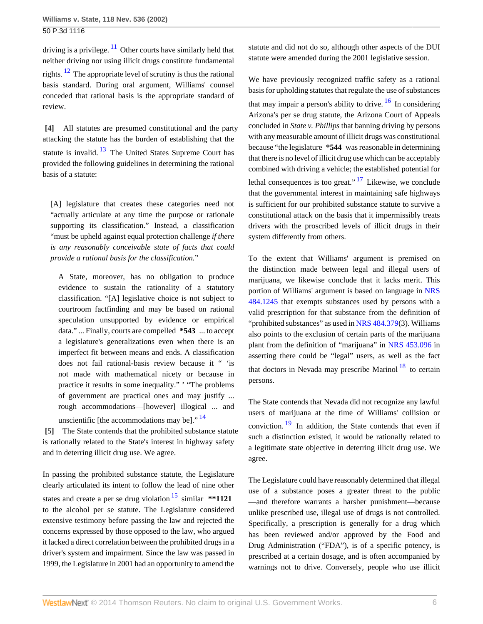<span id="page-5-3"></span><span id="page-5-2"></span>driving is a privilege.  $\frac{11}{10}$  $\frac{11}{10}$  $\frac{11}{10}$  Other courts have similarly held that neither driving nor using illicit drugs constitute fundamental rights. [12](#page-10-11) The appropriate level of scrutiny is thus the rational basis standard. During oral argument, Williams' counsel conceded that rational basis is the appropriate standard of review.

<span id="page-5-4"></span><span id="page-5-0"></span>**[\[4\]](#page-0-3)** All statutes are presumed constitutional and the party attacking the statute has the burden of establishing that the statute is invalid.  $13$  The United States Supreme Court has provided the following guidelines in determining the rational basis of a statute:

[A] legislature that creates these categories need not "actually articulate at any time the purpose or rationale supporting its classification." Instead, a classification "must be upheld against equal protection challenge *if there is any reasonably conceivable state of facts that could provide a rational basis for the classification.*"

A State, moreover, has no obligation to produce evidence to sustain the rationality of a statutory classification. "[A] legislative choice is not subject to courtroom factfinding and may be based on rational speculation unsupported by evidence or empirical data." ... Finally, courts are compelled **\*543** ... to accept a legislature's generalizations even when there is an imperfect fit between means and ends. A classification does not fail rational-basis review because it " 'is not made with mathematical nicety or because in practice it results in some inequality." ' "The problems of government are practical ones and may justify ... rough accommodations—[however] illogical ... and

<span id="page-5-1"></span>unscientific [the accommodations may be]."  $^{14}$  $^{14}$  $^{14}$ 

**[\[5\]](#page-0-4)** The State contends that the prohibited substance statute is rationally related to the State's interest in highway safety and in deterring illicit drug use. We agree.

In passing the prohibited substance statute, the Legislature clearly articulated its intent to follow the lead of nine other states and create a per se drug violation [15](#page-10-14) similar **\*\*1121** to the alcohol per se statute. The Legislature considered extensive testimony before passing the law and rejected the concerns expressed by those opposed to the law, who argued it lacked a direct correlation between the prohibited drugs in a driver's system and impairment. Since the law was passed in 1999, the Legislature in 2001 had an opportunity to amend the

statute and did not do so, although other aspects of the DUI statute were amended during the 2001 legislative session.

<span id="page-5-7"></span>We have previously recognized traffic safety as a rational basis for upholding statutes that regulate the use of substances that may impair a person's ability to drive.  $16$  In considering Arizona's per se drug statute, the Arizona Court of Appeals concluded in *State v. Phillips* that banning driving by persons with any measurable amount of illicit drugs was constitutional because "the legislature **\*544** was reasonable in determining that there is no level of illicit drug use which can be acceptably combined with driving a vehicle; the established potential for lethal consequences is too great."  $17$  Likewise, we conclude that the governmental interest in maintaining safe highways is sufficient for our prohibited substance statute to survive a constitutional attack on the basis that it impermissibly treats drivers with the proscribed levels of illicit drugs in their system differently from others.

<span id="page-5-8"></span>To the extent that Williams' argument is premised on the distinction made between legal and illegal users of marijuana, we likewise conclude that it lacks merit. This portion of Williams' argument is based on language in [NRS](http://www.westlaw.com/Link/Document/FullText?findType=L&pubNum=1000363&cite=NVST484.1245&originatingDoc=Ia70b58e8f53911d99439b076ef9ec4de&refType=LQ&originationContext=document&vr=3.0&rs=cblt1.0&transitionType=DocumentItem&contextData=(sc.Search)) [484.1245](http://www.westlaw.com/Link/Document/FullText?findType=L&pubNum=1000363&cite=NVST484.1245&originatingDoc=Ia70b58e8f53911d99439b076ef9ec4de&refType=LQ&originationContext=document&vr=3.0&rs=cblt1.0&transitionType=DocumentItem&contextData=(sc.Search)) that exempts substances used by persons with a valid prescription for that substance from the definition of "prohibited substances" as used in [NRS 484.379](http://www.westlaw.com/Link/Document/FullText?findType=L&pubNum=1000363&cite=NVST484.379&originatingDoc=Ia70b58e8f53911d99439b076ef9ec4de&refType=LQ&originationContext=document&vr=3.0&rs=cblt1.0&transitionType=DocumentItem&contextData=(sc.Search))(3). Williams also points to the exclusion of certain parts of the marijuana plant from the definition of "marijuana" in [NRS 453.096](http://www.westlaw.com/Link/Document/FullText?findType=L&pubNum=1000363&cite=NVST453.096&originatingDoc=Ia70b58e8f53911d99439b076ef9ec4de&refType=LQ&originationContext=document&vr=3.0&rs=cblt1.0&transitionType=DocumentItem&contextData=(sc.Search)) in asserting there could be "legal" users, as well as the fact that doctors in Nevada may prescribe Marinol  $18$  to certain persons.

<span id="page-5-10"></span><span id="page-5-9"></span><span id="page-5-5"></span>The State contends that Nevada did not recognize any lawful users of marijuana at the time of Williams' collision or conviction.  $\frac{19}{19}$  $\frac{19}{19}$  $\frac{19}{19}$  In addition, the State contends that even if such a distinction existed, it would be rationally related to a legitimate state objective in deterring illicit drug use. We agree.

<span id="page-5-6"></span>The Legislature could have reasonably determined that illegal use of a substance poses a greater threat to the public —and therefore warrants a harsher punishment—because unlike prescribed use, illegal use of drugs is not controlled. Specifically, a prescription is generally for a drug which has been reviewed and/or approved by the Food and Drug Administration ("FDA"), is of a specific potency, is prescribed at a certain dosage, and is often accompanied by warnings not to drive. Conversely, people who use illicit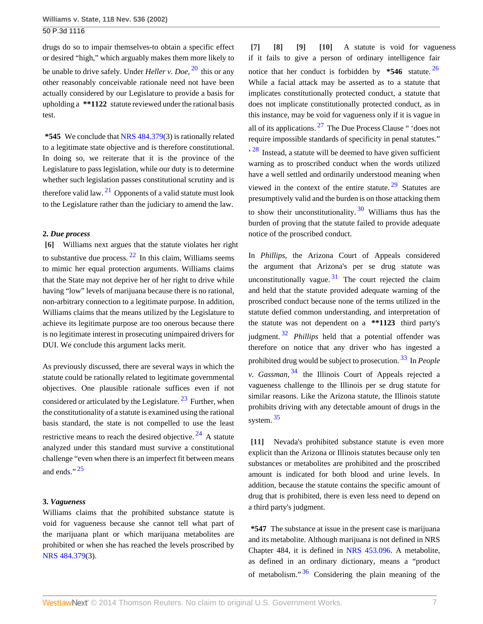drugs do so to impair themselves-to obtain a specific effect or desired "high," which arguably makes them more likely to be unable to drive safely. Under *Heller v. Doe,* [20](#page-11-2) this or any other reasonably conceivable rationale need not have been actually considered by our Legislature to provide a basis for upholding a **\*\*1122** statute reviewed under the rational basis test.

**\*545** We conclude that [NRS 484.379](http://www.westlaw.com/Link/Document/FullText?findType=L&pubNum=1000363&cite=NVST484.379&originatingDoc=Ia70b58e8f53911d99439b076ef9ec4de&refType=LQ&originationContext=document&vr=3.0&rs=cblt1.0&transitionType=DocumentItem&contextData=(sc.Search))(3) is rationally related to a legitimate state objective and is therefore constitutional. In doing so, we reiterate that it is the province of the Legislature to pass legislation, while our duty is to determine whether such legislation passes constitutional scrutiny and is therefore valid law.  $21$  Opponents of a valid statute must look to the Legislature rather than the judiciary to amend the law.

# <span id="page-6-7"></span>**2.** *Due process*

<span id="page-6-8"></span><span id="page-6-0"></span>**[\[6\]](#page-1-0)** Williams next argues that the statute violates her right to substantive due process.  $22$  In this claim, Williams seems to mimic her equal protection arguments. Williams claims that the State may not deprive her of her right to drive while having "low" levels of marijuana because there is no rational, non-arbitrary connection to a legitimate purpose. In addition, Williams claims that the means utilized by the Legislature to achieve its legitimate purpose are too onerous because there is no legitimate interest in prosecuting unimpaired drivers for DUI. We conclude this argument lacks merit.

As previously discussed, there are several ways in which the statute could be rationally related to legitimate governmental objectives. One plausible rationale suffices even if not considered or articulated by the Legislature.  $23$  Further, when the constitutionality of a statute is examined using the rational basis standard, the state is not compelled to use the least restrictive means to reach the desired objective.  $24$  A statute analyzed under this standard must survive a constitutional challenge "even when there is an imperfect fit between means and ends."<sup>[25](#page-11-7)</sup>

# <span id="page-6-11"></span>**3.** *Vagueness*

Williams claims that the prohibited substance statute is void for vagueness because she cannot tell what part of the marijuana plant or which marijuana metabolites are prohibited or when she has reached the levels proscribed by [NRS 484.379](http://www.westlaw.com/Link/Document/FullText?findType=L&pubNum=1000363&cite=NVST484.379&originatingDoc=Ia70b58e8f53911d99439b076ef9ec4de&refType=LQ&originationContext=document&vr=3.0&rs=cblt1.0&transitionType=DocumentItem&contextData=(sc.Search))(3).

<span id="page-6-14"></span><span id="page-6-13"></span><span id="page-6-12"></span><span id="page-6-6"></span><span id="page-6-4"></span><span id="page-6-3"></span><span id="page-6-2"></span><span id="page-6-1"></span>**[\[7\]](#page-1-1) [\[8\]](#page-1-2) [\[9\]](#page-1-3) [\[10\]](#page-1-4)** A statute is void for vagueness if it fails to give a person of ordinary intelligence fair notice that her conduct is forbidden by **\*546** statute. [26](#page-11-8) While a facial attack may be asserted as to a statute that implicates constitutionally protected conduct, a statute that does not implicate constitutionally protected conduct, as in this instance, may be void for vagueness only if it is vague in all of its applications.  $27$  The Due Process Clause " 'does not require impossible standards of specificity in penal statutes."  $\frac{1}{28}$  $\frac{1}{28}$  $\frac{1}{28}$  Instead, a statute will be deemed to have given sufficient warning as to proscribed conduct when the words utilized have a well settled and ordinarily understood meaning when viewed in the context of the entire statute.  $29$  Statutes are presumptively valid and the burden is on those attacking them to show their unconstitutionality.<sup>[30](#page-11-12)</sup> Williams thus has the burden of proving that the statute failed to provide adequate notice of the proscribed conduct.

<span id="page-6-18"></span><span id="page-6-17"></span><span id="page-6-16"></span><span id="page-6-15"></span>In *Phillips,* the Arizona Court of Appeals considered the argument that Arizona's per se drug statute was unconstitutionally vague.  $31$  The court rejected the claim and held that the statute provided adequate warning of the proscribed conduct because none of the terms utilized in the statute defied common understanding, and interpretation of the statute was not dependent on a **\*\*1123** third party's judgment. [32](#page-11-14) *Phillips* held that a potential offender was therefore on notice that any driver who has ingested a prohibited drug would be subject to prosecution. [33](#page-11-15) In *People v. Gassman,* [34](#page-11-16) the Illinois Court of Appeals rejected a vagueness challenge to the Illinois per se drug statute for similar reasons. Like the Arizona statute, the Illinois statute prohibits driving with any detectable amount of drugs in the system. [35](#page-11-17)

<span id="page-6-21"></span><span id="page-6-20"></span><span id="page-6-19"></span><span id="page-6-10"></span><span id="page-6-9"></span><span id="page-6-5"></span>**[\[11\]](#page-1-5)** Nevada's prohibited substance statute is even more explicit than the Arizona or Illinois statutes because only ten substances or metabolites are prohibited and the proscribed amount is indicated for both blood and urine levels. In addition, because the statute contains the specific amount of drug that is prohibited, there is even less need to depend on a third party's judgment.

<span id="page-6-22"></span>**\*547** The substance at issue in the present case is marijuana and its metabolite. Although marijuana is not defined in NRS Chapter 484, it is defined in [NRS 453.096](http://www.westlaw.com/Link/Document/FullText?findType=L&pubNum=1000363&cite=NVST453.096&originatingDoc=Ia70b58e8f53911d99439b076ef9ec4de&refType=LQ&originationContext=document&vr=3.0&rs=cblt1.0&transitionType=DocumentItem&contextData=(sc.Search)). A metabolite, as defined in an ordinary dictionary, means a "product of metabolism."  $36$  Considering the plain meaning of the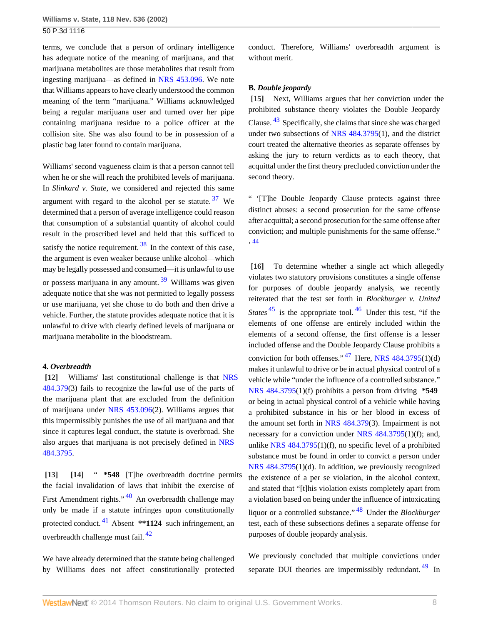terms, we conclude that a person of ordinary intelligence has adequate notice of the meaning of marijuana, and that marijuana metabolites are those metabolites that result from ingesting marijuana—as defined in [NRS 453.096](http://www.westlaw.com/Link/Document/FullText?findType=L&pubNum=1000363&cite=NVST453.096&originatingDoc=Ia70b58e8f53911d99439b076ef9ec4de&refType=LQ&originationContext=document&vr=3.0&rs=cblt1.0&transitionType=DocumentItem&contextData=(sc.Search)). We note that Williams appears to have clearly understood the common meaning of the term "marijuana." Williams acknowledged being a regular marijuana user and turned over her pipe containing marijuana residue to a police officer at the collision site. She was also found to be in possession of a plastic bag later found to contain marijuana.

Williams' second vagueness claim is that a person cannot tell when he or she will reach the prohibited levels of marijuana. In *Slinkard v. State,* we considered and rejected this same argument with regard to the alcohol per se statute.  $37$  We determined that a person of average intelligence could reason that consumption of a substantial quantity of alcohol could result in the proscribed level and held that this sufficed to satisfy the notice requirement.  $\frac{38}{3}$  $\frac{38}{3}$  $\frac{38}{3}$  In the context of this case, the argument is even weaker because unlike alcohol—which may be legally possessed and consumed—it is unlawful to use or possess marijuana in any amount. <sup>[39](#page-11-21)</sup> Williams was given adequate notice that she was not permitted to legally possess or use marijuana, yet she chose to do both and then drive a vehicle. Further, the statute provides adequate notice that it is unlawful to drive with clearly defined levels of marijuana or marijuana metabolite in the bloodstream.

#### **4.** *Overbreadth*

<span id="page-7-0"></span>**[\[12\]](#page-1-6)** Williams' last constitutional challenge is that [NRS](http://www.westlaw.com/Link/Document/FullText?findType=L&pubNum=1000363&cite=NVST484.379&originatingDoc=Ia70b58e8f53911d99439b076ef9ec4de&refType=LQ&originationContext=document&vr=3.0&rs=cblt1.0&transitionType=DocumentItem&contextData=(sc.Search)) [484.379](http://www.westlaw.com/Link/Document/FullText?findType=L&pubNum=1000363&cite=NVST484.379&originatingDoc=Ia70b58e8f53911d99439b076ef9ec4de&refType=LQ&originationContext=document&vr=3.0&rs=cblt1.0&transitionType=DocumentItem&contextData=(sc.Search))(3) fails to recognize the lawful use of the parts of the marijuana plant that are excluded from the definition of marijuana under [NRS 453.096](http://www.westlaw.com/Link/Document/FullText?findType=L&pubNum=1000363&cite=NVST453.096&originatingDoc=Ia70b58e8f53911d99439b076ef9ec4de&refType=LQ&originationContext=document&vr=3.0&rs=cblt1.0&transitionType=DocumentItem&contextData=(sc.Search))(2). Williams argues that this impermissibly punishes the use of all marijuana and that since it captures legal conduct, the statute is overbroad. She also argues that marijuana is not precisely defined in [NRS](http://www.westlaw.com/Link/Document/FullText?findType=L&pubNum=1000363&cite=NVST484.3795&originatingDoc=Ia70b58e8f53911d99439b076ef9ec4de&refType=LQ&originationContext=document&vr=3.0&rs=cblt1.0&transitionType=DocumentItem&contextData=(sc.Search)) [484.3795.](http://www.westlaw.com/Link/Document/FullText?findType=L&pubNum=1000363&cite=NVST484.3795&originatingDoc=Ia70b58e8f53911d99439b076ef9ec4de&refType=LQ&originationContext=document&vr=3.0&rs=cblt1.0&transitionType=DocumentItem&contextData=(sc.Search))

<span id="page-7-8"></span><span id="page-7-2"></span><span id="page-7-1"></span>**[\[13\]](#page-1-7) [\[14\]](#page-2-0)** " **\*548** [T]he overbreadth doctrine permits the facial invalidation of laws that inhibit the exercise of First Amendment rights."<sup>[40](#page-11-22)</sup> An overbreadth challenge may only be made if a statute infringes upon constitutionally protected conduct. [41](#page-11-23) Absent **\*\*1124** such infringement, an overbreadth challenge must fail. [42](#page-11-24)

<span id="page-7-10"></span><span id="page-7-9"></span>We have already determined that the statute being challenged by Williams does not affect constitutionally protected conduct. Therefore, Williams' overbreadth argument is without merit.

#### **B.** *Double jeopardy*

<span id="page-7-11"></span><span id="page-7-3"></span>**[\[15\]](#page-2-1)** Next, Williams argues that her conviction under the prohibited substance theory violates the Double Jeopardy Clause. [43](#page-11-25) Specifically, she claims that since she was charged under two subsections of [NRS 484.3795\(](http://www.westlaw.com/Link/Document/FullText?findType=L&pubNum=1000363&cite=NVST484.3795&originatingDoc=Ia70b58e8f53911d99439b076ef9ec4de&refType=LQ&originationContext=document&vr=3.0&rs=cblt1.0&transitionType=DocumentItem&contextData=(sc.Search))1), and the district court treated the alternative theories as separate offenses by asking the jury to return verdicts as to each theory, that acquittal under the first theory precluded conviction under the second theory.

<span id="page-7-5"></span>" '[T]he Double Jeopardy Clause protects against three distinct abuses: a second prosecution for the same offense after acquittal; a second prosecution for the same offense after conviction; and multiple punishments for the same offense." ' [44](#page-11-26)

<span id="page-7-15"></span><span id="page-7-14"></span><span id="page-7-13"></span><span id="page-7-12"></span><span id="page-7-7"></span><span id="page-7-6"></span><span id="page-7-4"></span>**[\[16\]](#page-2-2)** To determine whether a single act which allegedly violates two statutory provisions constitutes a single offense for purposes of double jeopardy analysis, we recently reiterated that the test set forth in *Blockburger v. United States*<sup>[45](#page-11-27)</sup> is the appropriate tool.<sup>[46](#page-11-28)</sup> Under this test, "if the elements of one offense are entirely included within the elements of a second offense, the first offense is a lesser included offense and the Double Jeopardy Clause prohibits a conviction for both offenses."  $47$  Here, [NRS 484.3795\(](http://www.westlaw.com/Link/Document/FullText?findType=L&pubNum=1000363&cite=NVST484.3795&originatingDoc=Ia70b58e8f53911d99439b076ef9ec4de&refType=LQ&originationContext=document&vr=3.0&rs=cblt1.0&transitionType=DocumentItem&contextData=(sc.Search))1)(d) makes it unlawful to drive or be in actual physical control of a vehicle while "under the influence of a controlled substance." [NRS 484.3795](http://www.westlaw.com/Link/Document/FullText?findType=L&pubNum=1000363&cite=NVST484.3795&originatingDoc=Ia70b58e8f53911d99439b076ef9ec4de&refType=LQ&originationContext=document&vr=3.0&rs=cblt1.0&transitionType=DocumentItem&contextData=(sc.Search))(1)(f) prohibits a person from driving **\*549** or being in actual physical control of a vehicle while having a prohibited substance in his or her blood in excess of the amount set forth in [NRS 484.379\(](http://www.westlaw.com/Link/Document/FullText?findType=L&pubNum=1000363&cite=NVST484.379&originatingDoc=Ia70b58e8f53911d99439b076ef9ec4de&refType=LQ&originationContext=document&vr=3.0&rs=cblt1.0&transitionType=DocumentItem&contextData=(sc.Search))3). Impairment is not necessary for a conviction under [NRS 484.3795](http://www.westlaw.com/Link/Document/FullText?findType=L&pubNum=1000363&cite=NVST484.3795&originatingDoc=Ia70b58e8f53911d99439b076ef9ec4de&refType=LQ&originationContext=document&vr=3.0&rs=cblt1.0&transitionType=DocumentItem&contextData=(sc.Search))(1)(f); and, unlike [NRS 484.3795\(](http://www.westlaw.com/Link/Document/FullText?findType=L&pubNum=1000363&cite=NVST484.3795&originatingDoc=Ia70b58e8f53911d99439b076ef9ec4de&refType=LQ&originationContext=document&vr=3.0&rs=cblt1.0&transitionType=DocumentItem&contextData=(sc.Search))1)(f), no specific level of a prohibited substance must be found in order to convict a person under [NRS 484.3795](http://www.westlaw.com/Link/Document/FullText?findType=L&pubNum=1000363&cite=NVST484.3795&originatingDoc=Ia70b58e8f53911d99439b076ef9ec4de&refType=LQ&originationContext=document&vr=3.0&rs=cblt1.0&transitionType=DocumentItem&contextData=(sc.Search))(1)(d). In addition, we previously recognized the existence of a per se violation, in the alcohol context, and stated that "[t]his violation exists completely apart from a violation based on being under the influence of intoxicating liquor or a controlled substance." [48](#page-11-30) Under the *Blockburger* test, each of these subsections defines a separate offense for purposes of double jeopardy analysis.

<span id="page-7-17"></span><span id="page-7-16"></span>We previously concluded that multiple convictions under separate DUI theories are impermissibly redundant.<sup>[49](#page-11-31)</sup> In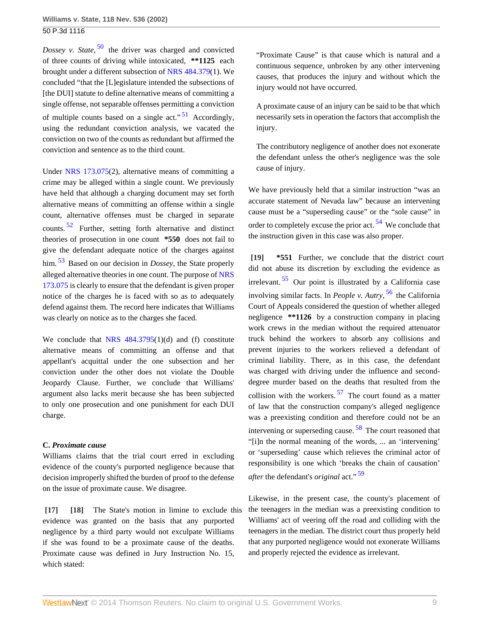<span id="page-8-3"></span>*Dossey v. State,* <sup>[50](#page-11-32)</sup> the driver was charged and convicted of three counts of driving while intoxicated, **\*\*1125** each brought under a different subsection of [NRS 484.379](http://www.westlaw.com/Link/Document/FullText?findType=L&pubNum=1000363&cite=NVST484.379&originatingDoc=Ia70b58e8f53911d99439b076ef9ec4de&refType=LQ&originationContext=document&vr=3.0&rs=cblt1.0&transitionType=DocumentItem&contextData=(sc.Search))(1). We concluded "that the [L]egislature intended the subsections of [the DUI] statute to define alternative means of committing a single offense, not separable offenses permitting a conviction of multiple counts based on a single act."<sup>[51](#page-11-33)</sup> Accordingly, using the redundant conviction analysis, we vacated the conviction on two of the counts as redundant but affirmed the conviction and sentence as to the third count.

<span id="page-8-5"></span>Under [NRS 173.075](http://www.westlaw.com/Link/Document/FullText?findType=L&pubNum=1000363&cite=NVST173.075&originatingDoc=Ia70b58e8f53911d99439b076ef9ec4de&refType=LQ&originationContext=document&vr=3.0&rs=cblt1.0&transitionType=DocumentItem&contextData=(sc.Search))(2), alternative means of committing a crime may be alleged within a single count. We previously have held that although a charging document may set forth alternative means of committing an offense within a single count, alternative offenses must be charged in separate counts. [52](#page-11-34) Further, setting forth alternative and distinct theories of prosecution in one count **\*550** does not fail to give the defendant adequate notice of the charges against him. [53](#page-11-35) Based on our decision in *Dossey,* the State properly alleged alternative theories in one count. The purpose of [NRS](http://www.westlaw.com/Link/Document/FullText?findType=L&pubNum=1000363&cite=NVST173.075&originatingDoc=Ia70b58e8f53911d99439b076ef9ec4de&refType=LQ&originationContext=document&vr=3.0&rs=cblt1.0&transitionType=DocumentItem&contextData=(sc.Search)) [173.075](http://www.westlaw.com/Link/Document/FullText?findType=L&pubNum=1000363&cite=NVST173.075&originatingDoc=Ia70b58e8f53911d99439b076ef9ec4de&refType=LQ&originationContext=document&vr=3.0&rs=cblt1.0&transitionType=DocumentItem&contextData=(sc.Search)) is clearly to ensure that the defendant is given proper notice of the charges he is faced with so as to adequately defend against them. The record here indicates that Williams was clearly on notice as to the charges she faced.

<span id="page-8-6"></span>We conclude that NRS  $484.3795(1)(d)$  and (f) constitute alternative means of committing an offense and that appellant's acquittal under the one subsection and her conviction under the other does not violate the Double Jeopardy Clause. Further, we conclude that Williams' argument also lacks merit because she has been subjected to only one prosecution and one punishment for each DUI charge.

# **C.** *Proximate cause*

Williams claims that the trial court erred in excluding evidence of the county's purported negligence because that decision improperly shifted the burden of proof to the defense on the issue of proximate cause. We disagree.

<span id="page-8-1"></span><span id="page-8-0"></span>**[\[17\]](#page-2-3) [\[18\]](#page-2-4)** The State's motion in limine to exclude this evidence was granted on the basis that any purported negligence by a third party would not exculpate Williams if she was found to be a proximate cause of the deaths. Proximate cause was defined in Jury Instruction No. 15, which stated:

"Proximate Cause" is that cause which is natural and a continuous sequence, unbroken by any other intervening causes, that produces the injury and without which the injury would not have occurred.

<span id="page-8-4"></span>A proximate cause of an injury can be said to be that which necessarily sets in operation the factors that accomplish the injury.

The contributory negligence of another does not exonerate the defendant unless the other's negligence was the sole cause of injury.

<span id="page-8-7"></span>We have previously held that a similar instruction "was an accurate statement of Nevada law" because an intervening cause must be a "superseding cause" or the "sole cause" in order to completely excuse the prior act. [54](#page-11-36) We conclude that the instruction given in this case was also proper.

<span id="page-8-9"></span><span id="page-8-8"></span><span id="page-8-2"></span>**[\[19\]](#page-2-5) \*551** Further, we conclude that the district court did not abuse its discretion by excluding the evidence as irrelevant. [55](#page-11-37) Our point is illustrated by a California case involving similar facts. In *People v. Autry,* [56](#page-12-0) the California Court of Appeals considered the question of whether alleged negligence **\*\*1126** by a construction company in placing work crews in the median without the required attenuator truck behind the workers to absorb any collisions and prevent injuries to the workers relieved a defendant of criminal liability. There, as in this case, the defendant was charged with driving under the influence and seconddegree murder based on the deaths that resulted from the collision with the workers.  $57$  The court found as a matter of law that the construction company's alleged negligence was a preexisting condition and therefore could not be an intervening or superseding cause.<sup>[58](#page-12-2)</sup> The court reasoned that "[i]n the normal meaning of the words, ... an 'intervening' or 'superseding' cause which relieves the criminal actor of responsibility is one which 'breaks the chain of causation' *after* the defendant's *original* act." [59](#page-12-3)

<span id="page-8-12"></span><span id="page-8-11"></span><span id="page-8-10"></span>Likewise, in the present case, the county's placement of the teenagers in the median was a preexisting condition to Williams' act of veering off the road and colliding with the teenagers in the median. The district court thus properly held that any purported negligence would not exonerate Williams and properly rejected the evidence as irrelevant.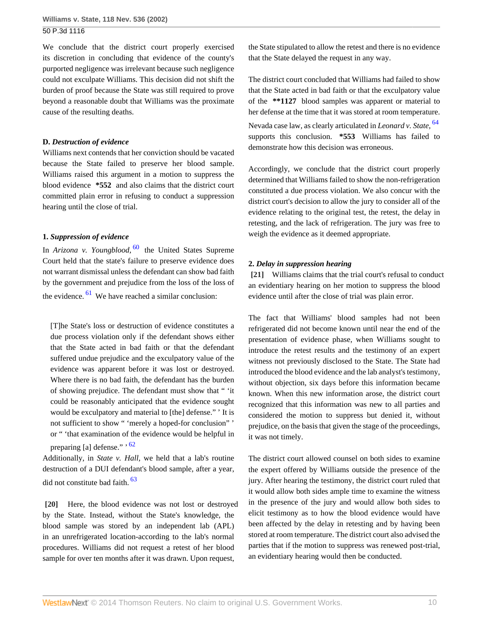We conclude that the district court properly exercised its discretion in concluding that evidence of the county's purported negligence was irrelevant because such negligence could not exculpate Williams. This decision did not shift the burden of proof because the State was still required to prove beyond a reasonable doubt that Williams was the proximate cause of the resulting deaths.

# **D.** *Destruction of evidence*

Williams next contends that her conviction should be vacated because the State failed to preserve her blood sample. Williams raised this argument in a motion to suppress the blood evidence **\*552** and also claims that the district court committed plain error in refusing to conduct a suppression hearing until the close of trial.

# **1.** *Suppression of evidence*

<span id="page-9-2"></span>In *Arizona v. Youngblood*, <sup>[60](#page-12-4)</sup> the United States Supreme Court held that the state's failure to preserve evidence does not warrant dismissal unless the defendant can show bad faith by the government and prejudice from the loss of the loss of the evidence.  $61$  We have reached a similar conclusion:

<span id="page-9-3"></span>[T]he State's loss or destruction of evidence constitutes a due process violation only if the defendant shows either that the State acted in bad faith or that the defendant suffered undue prejudice and the exculpatory value of the evidence was apparent before it was lost or destroyed. Where there is no bad faith, the defendant has the burden of showing prejudice. The defendant must show that " 'it could be reasonably anticipated that the evidence sought would be exculpatory and material to [the] defense." ' It is not sufficient to show " 'merely a hoped-for conclusion" ' or " 'that examination of the evidence would be helpful in preparing [a] defense." ' [62](#page-12-6)

<span id="page-9-5"></span><span id="page-9-4"></span>Additionally, in *State v. Hall,* we held that a lab's routine destruction of a DUI defendant's blood sample, after a year, did not constitute bad faith. [63](#page-12-7)

<span id="page-9-0"></span>**[\[20\]](#page-2-6)** Here, the blood evidence was not lost or destroyed by the State. Instead, without the State's knowledge, the blood sample was stored by an independent lab (APL) in an unrefrigerated location-according to the lab's normal procedures. Williams did not request a retest of her blood sample for over ten months after it was drawn. Upon request,

the State stipulated to allow the retest and there is no evidence that the State delayed the request in any way.

<span id="page-9-6"></span>The district court concluded that Williams had failed to show that the State acted in bad faith or that the exculpatory value of the **\*\*1127** blood samples was apparent or material to her defense at the time that it was stored at room temperature. Nevada case law, as clearly articulated in *Leonard v. State,* [64](#page-12-8) supports this conclusion. **\*553** Williams has failed to demonstrate how this decision was erroneous.

Accordingly, we conclude that the district court properly determined that Williams failed to show the non-refrigeration constituted a due process violation. We also concur with the district court's decision to allow the jury to consider all of the evidence relating to the original test, the retest, the delay in retesting, and the lack of refrigeration. The jury was free to weigh the evidence as it deemed appropriate.

### **2.** *Delay in suppression hearing*

<span id="page-9-1"></span>**[\[21\]](#page-3-0)** Williams claims that the trial court's refusal to conduct an evidentiary hearing on her motion to suppress the blood evidence until after the close of trial was plain error.

The fact that Williams' blood samples had not been refrigerated did not become known until near the end of the presentation of evidence phase, when Williams sought to introduce the retest results and the testimony of an expert witness not previously disclosed to the State. The State had introduced the blood evidence and the lab analyst's testimony, without objection, six days before this information became known. When this new information arose, the district court recognized that this information was new to all parties and considered the motion to suppress but denied it, without prejudice, on the basis that given the stage of the proceedings, it was not timely.

The district court allowed counsel on both sides to examine the expert offered by Williams outside the presence of the jury. After hearing the testimony, the district court ruled that it would allow both sides ample time to examine the witness in the presence of the jury and would allow both sides to elicit testimony as to how the blood evidence would have been affected by the delay in retesting and by having been stored at room temperature. The district court also advised the parties that if the motion to suppress was renewed post-trial, an evidentiary hearing would then be conducted.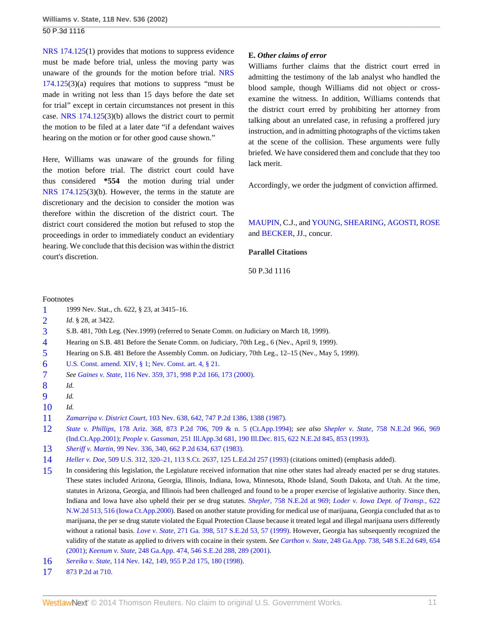[NRS 174.125\(](http://www.westlaw.com/Link/Document/FullText?findType=L&pubNum=1000363&cite=NVST174.125&originatingDoc=Ia70b58e8f53911d99439b076ef9ec4de&refType=LQ&originationContext=document&vr=3.0&rs=cblt1.0&transitionType=DocumentItem&contextData=(sc.Search))1) provides that motions to suppress evidence must be made before trial, unless the moving party was unaware of the grounds for the motion before trial. [NRS](http://www.westlaw.com/Link/Document/FullText?findType=L&pubNum=1000363&cite=NVST174.125&originatingDoc=Ia70b58e8f53911d99439b076ef9ec4de&refType=LQ&originationContext=document&vr=3.0&rs=cblt1.0&transitionType=DocumentItem&contextData=(sc.Search))  $174.125(3)(a)$  $174.125(3)(a)$  requires that motions to suppress "must be made in writing not less than 15 days before the date set for trial" except in certain circumstances not present in this case. [NRS 174.125\(](http://www.westlaw.com/Link/Document/FullText?findType=L&pubNum=1000363&cite=NVST174.125&originatingDoc=Ia70b58e8f53911d99439b076ef9ec4de&refType=LQ&originationContext=document&vr=3.0&rs=cblt1.0&transitionType=DocumentItem&contextData=(sc.Search))3)(b) allows the district court to permit the motion to be filed at a later date "if a defendant waives hearing on the motion or for other good cause shown."

Here, Williams was unaware of the grounds for filing the motion before trial. The district court could have thus considered **\*554** the motion during trial under [NRS 174.125](http://www.westlaw.com/Link/Document/FullText?findType=L&pubNum=1000363&cite=NVST174.125&originatingDoc=Ia70b58e8f53911d99439b076ef9ec4de&refType=LQ&originationContext=document&vr=3.0&rs=cblt1.0&transitionType=DocumentItem&contextData=(sc.Search))(3)(b). However, the terms in the statute are discretionary and the decision to consider the motion was therefore within the discretion of the district court. The district court considered the motion but refused to stop the proceedings in order to immediately conduct an evidentiary hearing. We conclude that this decision was within the district court's discretion.

# **E.** *Other claims of error*

Williams further claims that the district court erred in admitting the testimony of the lab analyst who handled the blood sample, though Williams did not object or crossexamine the witness. In addition, Williams contends that the district court erred by prohibiting her attorney from talking about an unrelated case, in refusing a proffered jury instruction, and in admitting photographs of the victims taken at the scene of the collision. These arguments were fully briefed. We have considered them and conclude that they too lack merit.

Accordingly, we order the judgment of conviction affirmed.

# [MAUPIN](http://www.westlaw.com/Link/Document/FullText?findType=h&pubNum=176284&cite=0109171601&originatingDoc=Ia70b58e8f53911d99439b076ef9ec4de&refType=RQ&originationContext=document&vr=3.0&rs=cblt1.0&transitionType=DocumentItem&contextData=(sc.Search)), C.J., and [YOUNG,](http://www.westlaw.com/Link/Document/FullText?findType=h&pubNum=176284&cite=0165562601&originatingDoc=Ia70b58e8f53911d99439b076ef9ec4de&refType=RQ&originationContext=document&vr=3.0&rs=cblt1.0&transitionType=DocumentItem&contextData=(sc.Search)) [SHEARING,](http://www.westlaw.com/Link/Document/FullText?findType=h&pubNum=176284&cite=0140761801&originatingDoc=Ia70b58e8f53911d99439b076ef9ec4de&refType=RQ&originationContext=document&vr=3.0&rs=cblt1.0&transitionType=DocumentItem&contextData=(sc.Search)) [AGOSTI,](http://www.westlaw.com/Link/Document/FullText?findType=h&pubNum=176284&cite=0104327901&originatingDoc=Ia70b58e8f53911d99439b076ef9ec4de&refType=RQ&originationContext=document&vr=3.0&rs=cblt1.0&transitionType=DocumentItem&contextData=(sc.Search)) [ROSE](http://www.westlaw.com/Link/Document/FullText?findType=h&pubNum=176284&cite=0231711201&originatingDoc=Ia70b58e8f53911d99439b076ef9ec4de&refType=RQ&originationContext=document&vr=3.0&rs=cblt1.0&transitionType=DocumentItem&contextData=(sc.Search)) and [BECKER](http://www.westlaw.com/Link/Document/FullText?findType=h&pubNum=176284&cite=0153094501&originatingDoc=Ia70b58e8f53911d99439b076ef9ec4de&refType=RQ&originationContext=document&vr=3.0&rs=cblt1.0&transitionType=DocumentItem&contextData=(sc.Search)), JJ., concur.

# **Parallel Citations**

## 50 P.3d 1116

#### Footnotes

- <span id="page-10-0"></span>[1](#page-4-3) 1999 Nev. Stat., ch. 622, § 23, at 3415–16.
- <span id="page-10-1"></span>[2](#page-4-4) *Id.* § 28, at 3422.
- <span id="page-10-2"></span>[3](#page-4-5) S.B. 481, 70th Leg. (Nev.1999) (referred to Senate Comm. on Judiciary on March 18, 1999).
- <span id="page-10-3"></span>[4](#page-4-6) Hearing on S.B. 481 Before the Senate Comm. on Judiciary, 70th Leg., 6 (Nev., April 9, 1999).
- <span id="page-10-4"></span>[5](#page-4-7) Hearing on S.B. 481 Before the Assembly Comm. on Judiciary, 70th Leg., 12–15 (Nev., May 5, 1999).
- <span id="page-10-5"></span>[6](#page-4-8) [U.S. Const. amend. XIV, § 1;](http://www.westlaw.com/Link/Document/FullText?findType=L&pubNum=1000546&cite=USCOAMENDXIVS1&originatingDoc=Ia70b58e8f53911d99439b076ef9ec4de&refType=LQ&originationContext=document&vr=3.0&rs=cblt1.0&transitionType=DocumentItem&contextData=(sc.Search)) [Nev. Const. art. 4, § 21](http://www.westlaw.com/Link/Document/FullText?findType=L&pubNum=1000363&cite=NVCNART4S21&originatingDoc=Ia70b58e8f53911d99439b076ef9ec4de&refType=LQ&originationContext=document&vr=3.0&rs=cblt1.0&transitionType=DocumentItem&contextData=(sc.Search)).
- <span id="page-10-6"></span>[7](#page-4-9) *See Gaines v. State,* [116 Nev. 359, 371, 998 P.2d 166, 173 \(2000\).](http://www.westlaw.com/Link/Document/FullText?findType=Y&serNum=2000073593&pubNum=661&originationContext=document&vr=3.0&rs=cblt1.0&transitionType=DocumentItem&contextData=(sc.Search)#co_pp_sp_661_173)
- <span id="page-10-7"></span>[8](#page-4-10) *Id.*
- <span id="page-10-8"></span>[9](#page-4-11) *Id.*
- <span id="page-10-9"></span>[10](#page-4-12) *Id.*
- <span id="page-10-10"></span>[11](#page-5-2) *Zamarripa v. District Court,* [103 Nev. 638, 642, 747 P.2d 1386, 1388 \(1987\)](http://www.westlaw.com/Link/Document/FullText?findType=Y&serNum=1988006203&pubNum=661&originationContext=document&vr=3.0&rs=cblt1.0&transitionType=DocumentItem&contextData=(sc.Search)#co_pp_sp_661_1388).
- <span id="page-10-11"></span>[12](#page-5-3) *State v. Phillips,* [178 Ariz. 368, 873 P.2d 706, 709 & n. 5 \(Ct.App.1994\);](http://www.westlaw.com/Link/Document/FullText?findType=Y&serNum=1994092420&pubNum=661&originationContext=document&vr=3.0&rs=cblt1.0&transitionType=DocumentItem&contextData=(sc.Search)#co_pp_sp_661_709) *see also Shepler v. State,* [758 N.E.2d 966, 969](http://www.westlaw.com/Link/Document/FullText?findType=Y&serNum=2001992809&pubNum=578&originationContext=document&vr=3.0&rs=cblt1.0&transitionType=DocumentItem&contextData=(sc.Search)#co_pp_sp_578_969) [\(Ind.Ct.App.2001\);](http://www.westlaw.com/Link/Document/FullText?findType=Y&serNum=2001992809&pubNum=578&originationContext=document&vr=3.0&rs=cblt1.0&transitionType=DocumentItem&contextData=(sc.Search)#co_pp_sp_578_969) *People v. Gassman,* [251 Ill.App.3d 681, 190 Ill.Dec. 815, 622 N.E.2d 845, 853 \(1993\)](http://www.westlaw.com/Link/Document/FullText?findType=Y&serNum=1993204455&pubNum=578&originationContext=document&vr=3.0&rs=cblt1.0&transitionType=DocumentItem&contextData=(sc.Search)#co_pp_sp_578_853).
- <span id="page-10-12"></span>[13](#page-5-4) *Sheriff v. Martin,* [99 Nev. 336, 340, 662 P.2d 634, 637 \(1983\).](http://www.westlaw.com/Link/Document/FullText?findType=Y&serNum=1983120269&pubNum=661&originationContext=document&vr=3.0&rs=cblt1.0&transitionType=DocumentItem&contextData=(sc.Search)#co_pp_sp_661_637)
- <span id="page-10-13"></span>[14](#page-5-5) *Heller v. Doe,* [509 U.S. 312, 320–21, 113 S.Ct. 2637, 125 L.Ed.2d 257 \(1993\)](http://www.westlaw.com/Link/Document/FullText?findType=Y&serNum=1993129064&pubNum=708&originationContext=document&vr=3.0&rs=cblt1.0&transitionType=DocumentItem&contextData=(sc.Search)) (citations omitted) (emphasis added).
- <span id="page-10-14"></span>[15](#page-5-6) In considering this legislation, the Legislature received information that nine other states had already enacted per se drug statutes. These states included Arizona, Georgia, Illinois, Indiana, Iowa, Minnesota, Rhode Island, South Dakota, and Utah. At the time, statutes in Arizona, Georgia, and Illinois had been challenged and found to be a proper exercise of legislative authority. Since then, Indiana and Iowa have also upheld their per se drug statutes. *Shepler,* [758 N.E.2d at 969;](http://www.westlaw.com/Link/Document/FullText?findType=Y&serNum=2001992809&pubNum=578&originationContext=document&vr=3.0&rs=cblt1.0&transitionType=DocumentItem&contextData=(sc.Search)#co_pp_sp_578_969) *[Loder v. Iowa Dept. of Transp.,](http://www.westlaw.com/Link/Document/FullText?findType=Y&serNum=2000646229&pubNum=595&originationContext=document&vr=3.0&rs=cblt1.0&transitionType=DocumentItem&contextData=(sc.Search)#co_pp_sp_595_516)* 622 [N.W.2d 513, 516 \(Iowa Ct.App.2000\).](http://www.westlaw.com/Link/Document/FullText?findType=Y&serNum=2000646229&pubNum=595&originationContext=document&vr=3.0&rs=cblt1.0&transitionType=DocumentItem&contextData=(sc.Search)#co_pp_sp_595_516) Based on another statute providing for medical use of marijuana, Georgia concluded that as to marijuana, the per se drug statute violated the Equal Protection Clause because it treated legal and illegal marijuana users differently without a rational basis. *Love v. State,* [271 Ga. 398, 517 S.E.2d 53, 57 \(1999\).](http://www.westlaw.com/Link/Document/FullText?findType=Y&serNum=1999131383&pubNum=711&originationContext=document&vr=3.0&rs=cblt1.0&transitionType=DocumentItem&contextData=(sc.Search)#co_pp_sp_711_57) However, Georgia has subsequently recognized the validity of the statute as applied to drivers with cocaine in their system. *See Carthon v. State,* [248 Ga.App. 738, 548 S.E.2d 649, 654](http://www.westlaw.com/Link/Document/FullText?findType=Y&serNum=2001243588&pubNum=711&originationContext=document&vr=3.0&rs=cblt1.0&transitionType=DocumentItem&contextData=(sc.Search)#co_pp_sp_711_654) [\(2001\);](http://www.westlaw.com/Link/Document/FullText?findType=Y&serNum=2001243588&pubNum=711&originationContext=document&vr=3.0&rs=cblt1.0&transitionType=DocumentItem&contextData=(sc.Search)#co_pp_sp_711_654) *Keenum v. State,* [248 Ga.App. 474, 546 S.E.2d 288, 289 \(2001\).](http://www.westlaw.com/Link/Document/FullText?findType=Y&serNum=2001159084&pubNum=711&originationContext=document&vr=3.0&rs=cblt1.0&transitionType=DocumentItem&contextData=(sc.Search)#co_pp_sp_711_289)
- <span id="page-10-15"></span>[16](#page-5-7) *Sereika v. State,* [114 Nev. 142, 149, 955 P.2d 175, 180 \(1998\)](http://www.westlaw.com/Link/Document/FullText?findType=Y&serNum=1998061146&pubNum=661&originationContext=document&vr=3.0&rs=cblt1.0&transitionType=DocumentItem&contextData=(sc.Search)#co_pp_sp_661_180).
- <span id="page-10-16"></span>[17](#page-5-8) [873 P.2d at 710.](http://www.westlaw.com/Link/Document/FullText?findType=Y&serNum=1994092420&pubNum=661&originationContext=document&vr=3.0&rs=cblt1.0&transitionType=DocumentItem&contextData=(sc.Search)#co_pp_sp_661_710)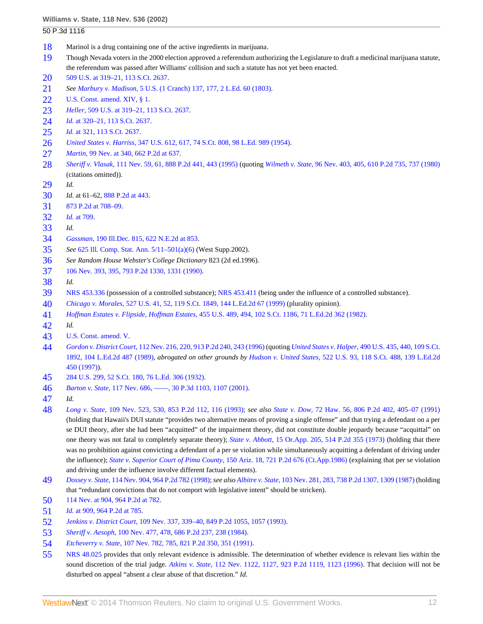- <span id="page-11-0"></span>Marinol is a drug containing one of the active ingredients in marijuana.
- <span id="page-11-1"></span> Though Nevada voters in the 2000 election approved a referendum authorizing the Legislature to draft a medicinal marijuana statute, the referendum was passed after Williams' collision and such a statute has not yet been enacted.
- <span id="page-11-2"></span>509 U.S. at 319-21, 113 S.Ct. 2637.
- <span id="page-11-3"></span>*See Marbury v. Madison,* [5 U.S. \(1 Cranch\) 137, 177, 2 L.Ed. 60 \(1803\).](http://www.westlaw.com/Link/Document/FullText?findType=Y&serNum=1801123932&pubNum=780&originationContext=document&vr=3.0&rs=cblt1.0&transitionType=DocumentItem&contextData=(sc.Search)#co_pp_sp_780_177)
- <span id="page-11-4"></span>[U.S. Const. amend. XIV, § 1.](http://www.westlaw.com/Link/Document/FullText?findType=L&pubNum=1000546&cite=USCOAMENDXIVS1&originatingDoc=Ia70b58e8f53911d99439b076ef9ec4de&refType=LQ&originationContext=document&vr=3.0&rs=cblt1.0&transitionType=DocumentItem&contextData=(sc.Search))
- <span id="page-11-5"></span>*Heller,* [509 U.S. at 319–21, 113 S.Ct. 2637.](http://www.westlaw.com/Link/Document/FullText?findType=Y&serNum=1993129064&pubNum=708&originationContext=document&vr=3.0&rs=cblt1.0&transitionType=DocumentItem&contextData=(sc.Search))
- <span id="page-11-6"></span>*Id.* [at 320–21, 113 S.Ct. 2637](http://www.westlaw.com/Link/Document/FullText?findType=Y&serNum=1993129064&pubNum=708&originationContext=document&vr=3.0&rs=cblt1.0&transitionType=DocumentItem&contextData=(sc.Search)).
- <span id="page-11-7"></span>*Id.* [at 321, 113 S.Ct. 2637.](http://www.westlaw.com/Link/Document/FullText?findType=Y&serNum=1993129064&pubNum=708&originationContext=document&vr=3.0&rs=cblt1.0&transitionType=DocumentItem&contextData=(sc.Search))
- <span id="page-11-8"></span>*United States v. Harriss,* [347 U.S. 612, 617, 74 S.Ct. 808, 98 L.Ed. 989 \(1954\).](http://www.westlaw.com/Link/Document/FullText?findType=Y&serNum=1954120885&pubNum=708&originationContext=document&vr=3.0&rs=cblt1.0&transitionType=DocumentItem&contextData=(sc.Search))
- <span id="page-11-9"></span>*Martin,* [99 Nev. at 340, 662 P.2d at 637](http://www.westlaw.com/Link/Document/FullText?findType=Y&serNum=1983120269&pubNum=661&originationContext=document&vr=3.0&rs=cblt1.0&transitionType=DocumentItem&contextData=(sc.Search)#co_pp_sp_661_637).
- <span id="page-11-10"></span> *Sheriff v. Vlasak,* [111 Nev. 59, 61, 888 P.2d 441, 443 \(1995\)](http://www.westlaw.com/Link/Document/FullText?findType=Y&serNum=1995036027&pubNum=661&originationContext=document&vr=3.0&rs=cblt1.0&transitionType=DocumentItem&contextData=(sc.Search)#co_pp_sp_661_443) (quoting *Wilmeth v. State,* [96 Nev. 403, 405, 610 P.2d 735, 737 \(1980\)](http://www.westlaw.com/Link/Document/FullText?findType=Y&serNum=1980114613&pubNum=661&originationContext=document&vr=3.0&rs=cblt1.0&transitionType=DocumentItem&contextData=(sc.Search)#co_pp_sp_661_737) (citations omitted)).
- <span id="page-11-11"></span>*Id.*
- <span id="page-11-12"></span>*Id.* at 61–62, [888 P.2d at 443](http://www.westlaw.com/Link/Document/FullText?findType=Y&serNum=1995036027&pubNum=661&originationContext=document&vr=3.0&rs=cblt1.0&transitionType=DocumentItem&contextData=(sc.Search)#co_pp_sp_661_443).
- <span id="page-11-13"></span>[873 P.2d at 708–09](http://www.westlaw.com/Link/Document/FullText?findType=Y&serNum=1994092420&pubNum=661&originationContext=document&vr=3.0&rs=cblt1.0&transitionType=DocumentItem&contextData=(sc.Search)#co_pp_sp_661_708).
- <span id="page-11-14"></span>*Id.* [at 709.](http://www.westlaw.com/Link/Document/FullText?findType=Y&serNum=1994092420&originationContext=document&vr=3.0&rs=cblt1.0&transitionType=DocumentItem&contextData=(sc.Search))
- <span id="page-11-15"></span>*Id.*
- <span id="page-11-16"></span>*Gassman,* [190 Ill.Dec. 815, 622 N.E.2d at 853.](http://www.westlaw.com/Link/Document/FullText?findType=Y&serNum=1993204455&pubNum=578&originationContext=document&vr=3.0&rs=cblt1.0&transitionType=DocumentItem&contextData=(sc.Search)#co_pp_sp_578_853)
- <span id="page-11-17"></span>*See* [625 Ill. Comp. Stat. Ann. 5/11–501\(a\)\(6\)](http://www.westlaw.com/Link/Document/FullText?findType=L&pubNum=1000008&cite=IL625S5%2f11-501&originatingDoc=Ia70b58e8f53911d99439b076ef9ec4de&refType=SP&originationContext=document&vr=3.0&rs=cblt1.0&transitionType=DocumentItem&contextData=(sc.Search)#co_pp_1496000051ed7) (West Supp.2002).
- <span id="page-11-18"></span>*See Random House Webster's College Dictionary* 823 (2d ed.1996).
- <span id="page-11-19"></span>[106 Nev. 393, 395, 793 P.2d 1330, 1331 \(1990\)](http://www.westlaw.com/Link/Document/FullText?findType=Y&serNum=1990100782&pubNum=661&originationContext=document&vr=3.0&rs=cblt1.0&transitionType=DocumentItem&contextData=(sc.Search)#co_pp_sp_661_1331).
- <span id="page-11-20"></span>*Id.*
- <span id="page-11-21"></span>[NRS 453.336](http://www.westlaw.com/Link/Document/FullText?findType=L&pubNum=1000363&cite=NVST453.336&originatingDoc=Ia70b58e8f53911d99439b076ef9ec4de&refType=LQ&originationContext=document&vr=3.0&rs=cblt1.0&transitionType=DocumentItem&contextData=(sc.Search)) (possession of a controlled substance); [NRS 453.411](http://www.westlaw.com/Link/Document/FullText?findType=L&pubNum=1000363&cite=NVST453.411&originatingDoc=Ia70b58e8f53911d99439b076ef9ec4de&refType=LQ&originationContext=document&vr=3.0&rs=cblt1.0&transitionType=DocumentItem&contextData=(sc.Search)) (being under the influence of a controlled substance).
- <span id="page-11-22"></span>*Chicago v. Morales,* [527 U.S. 41, 52, 119 S.Ct. 1849, 144 L.Ed.2d 67 \(1999\)](http://www.westlaw.com/Link/Document/FullText?findType=Y&serNum=1999137113&pubNum=708&originationContext=document&vr=3.0&rs=cblt1.0&transitionType=DocumentItem&contextData=(sc.Search)) (plurality opinion).
- <span id="page-11-23"></span>*Hoffman Estates v. Flipside, Hoffman Estates,* [455 U.S. 489, 494, 102 S.Ct. 1186, 71 L.Ed.2d 362 \(1982\).](http://www.westlaw.com/Link/Document/FullText?findType=Y&serNum=1982109837&pubNum=708&originationContext=document&vr=3.0&rs=cblt1.0&transitionType=DocumentItem&contextData=(sc.Search))
- <span id="page-11-24"></span>*Id.*
- <span id="page-11-25"></span>[U.S. Const. amend. V.](http://www.westlaw.com/Link/Document/FullText?findType=L&pubNum=1000546&cite=USCOAMENDV&originatingDoc=Ia70b58e8f53911d99439b076ef9ec4de&refType=LQ&originationContext=document&vr=3.0&rs=cblt1.0&transitionType=DocumentItem&contextData=(sc.Search))
- <span id="page-11-26"></span> *Gordon v. District Court,* [112 Nev. 216, 220, 913 P.2d 240, 243 \(1996\)](http://www.westlaw.com/Link/Document/FullText?findType=Y&serNum=1996063328&pubNum=661&originationContext=document&vr=3.0&rs=cblt1.0&transitionType=DocumentItem&contextData=(sc.Search)#co_pp_sp_661_243) (quoting *United States v. Halper,* [490 U.S. 435, 440, 109 S.Ct.](http://www.westlaw.com/Link/Document/FullText?findType=Y&serNum=1989072195&pubNum=708&originationContext=document&vr=3.0&rs=cblt1.0&transitionType=DocumentItem&contextData=(sc.Search)) [1892, 104 L.Ed.2d 487 \(1989\),](http://www.westlaw.com/Link/Document/FullText?findType=Y&serNum=1989072195&pubNum=708&originationContext=document&vr=3.0&rs=cblt1.0&transitionType=DocumentItem&contextData=(sc.Search)) *abrogated on other grounds by Hudson v. United States,* [522 U.S. 93, 118 S.Ct. 488, 139 L.Ed.2d](http://www.westlaw.com/Link/Document/FullText?findType=Y&serNum=1997239921&pubNum=708&originationContext=document&vr=3.0&rs=cblt1.0&transitionType=DocumentItem&contextData=(sc.Search)) [450 \(1997\)\)](http://www.westlaw.com/Link/Document/FullText?findType=Y&serNum=1997239921&pubNum=708&originationContext=document&vr=3.0&rs=cblt1.0&transitionType=DocumentItem&contextData=(sc.Search)).
- <span id="page-11-27"></span>[284 U.S. 299, 52 S.Ct. 180, 76 L.Ed. 306 \(1932\).](http://www.westlaw.com/Link/Document/FullText?findType=Y&serNum=1932123779&pubNum=708&originationContext=document&vr=3.0&rs=cblt1.0&transitionType=DocumentItem&contextData=(sc.Search))
- <span id="page-11-28"></span>*Barton v. State,* [117 Nev. 686, ––––, 30 P.3d 1103, 1107 \(2001\)](http://www.westlaw.com/Link/Document/FullText?findType=Y&serNum=2001783627&pubNum=4645&originationContext=document&vr=3.0&rs=cblt1.0&transitionType=DocumentItem&contextData=(sc.Search)#co_pp_sp_4645_1107).
- <span id="page-11-29"></span>*Id.*
- <span id="page-11-30"></span> *Long v. State,* [109 Nev. 523, 530, 853 P.2d 112, 116 \(1993\);](http://www.westlaw.com/Link/Document/FullText?findType=Y&serNum=1993115729&pubNum=661&originationContext=document&vr=3.0&rs=cblt1.0&transitionType=DocumentItem&contextData=(sc.Search)#co_pp_sp_661_116) *see also State v. Dow,* [72 Haw. 56, 806 P.2d 402, 405–07 \(1991\)](http://www.westlaw.com/Link/Document/FullText?findType=Y&serNum=1991039503&pubNum=661&originationContext=document&vr=3.0&rs=cblt1.0&transitionType=DocumentItem&contextData=(sc.Search)#co_pp_sp_661_405) (holding that Hawaii's DUI statute "provides two alternative means of proving a single offense" and that trying a defendant on a per se DUI theory, after she had been "acquitted" of the impairment theory, did not constitute double jeopardy because "acquittal" on one theory was not fatal to completely separate theory); *State v. Abbott,* [15 Or.App. 205, 514 P.2d 355 \(1973\)](http://www.westlaw.com/Link/Document/FullText?findType=Y&serNum=1973125013&pubNum=661&originationContext=document&vr=3.0&rs=cblt1.0&transitionType=DocumentItem&contextData=(sc.Search)) (holding that there was no prohibition against convicting a defendant of a per se violation while simultaneously acquitting a defendant of driving under the influence); *State v. Superior Court of Pima County,* [150 Ariz. 18, 721 P.2d 676 \(Ct.App.1986\)](http://www.westlaw.com/Link/Document/FullText?findType=Y&serNum=1986137454&pubNum=661&originationContext=document&vr=3.0&rs=cblt1.0&transitionType=DocumentItem&contextData=(sc.Search)) (explaining that per se violation and driving under the influence involve different factual elements).
- <span id="page-11-31"></span> *Dossey v. State,* [114 Nev. 904, 964 P.2d 782 \(1998\)](http://www.westlaw.com/Link/Document/FullText?findType=Y&serNum=1998185688&pubNum=661&originationContext=document&vr=3.0&rs=cblt1.0&transitionType=DocumentItem&contextData=(sc.Search)); *see also Albitre v. State,* [103 Nev. 281, 283, 738 P.2d 1307, 1309 \(1987\)](http://www.westlaw.com/Link/Document/FullText?findType=Y&serNum=1987081530&pubNum=661&originationContext=document&vr=3.0&rs=cblt1.0&transitionType=DocumentItem&contextData=(sc.Search)#co_pp_sp_661_1309) (holding that "redundant convictions that do not comport with legislative intent" should be stricken).
- <span id="page-11-32"></span>[114 Nev. at 904, 964 P.2d at 782](http://www.westlaw.com/Link/Document/FullText?findType=Y&serNum=1998185688&pubNum=661&originationContext=document&vr=3.0&rs=cblt1.0&transitionType=DocumentItem&contextData=(sc.Search)#co_pp_sp_661_782).
- <span id="page-11-33"></span>*Id.* [at 909, 964 P.2d at 785](http://www.westlaw.com/Link/Document/FullText?findType=Y&serNum=1998185688&pubNum=661&originationContext=document&vr=3.0&rs=cblt1.0&transitionType=DocumentItem&contextData=(sc.Search)#co_pp_sp_661_785).
- <span id="page-11-34"></span>*Jenkins v. District Court,* [109 Nev. 337, 339–40, 849 P.2d 1055, 1057 \(1993\).](http://www.westlaw.com/Link/Document/FullText?findType=Y&serNum=1993076898&pubNum=661&originationContext=document&vr=3.0&rs=cblt1.0&transitionType=DocumentItem&contextData=(sc.Search)#co_pp_sp_661_1057)
- <span id="page-11-35"></span>*Sheriff v. Aesoph,* [100 Nev. 477, 478, 686 P.2d 237, 238 \(1984\).](http://www.westlaw.com/Link/Document/FullText?findType=Y&serNum=1984140597&pubNum=661&originationContext=document&vr=3.0&rs=cblt1.0&transitionType=DocumentItem&contextData=(sc.Search)#co_pp_sp_661_238)
- <span id="page-11-36"></span>*Etcheverry v. State,* [107 Nev. 782, 785, 821 P.2d 350, 351 \(1991\).](http://www.westlaw.com/Link/Document/FullText?findType=Y&serNum=1991189149&pubNum=661&originationContext=document&vr=3.0&rs=cblt1.0&transitionType=DocumentItem&contextData=(sc.Search)#co_pp_sp_661_351)
- <span id="page-11-37"></span> [NRS 48.025](http://www.westlaw.com/Link/Document/FullText?findType=L&pubNum=1000363&cite=NVST48.025&originatingDoc=Ia70b58e8f53911d99439b076ef9ec4de&refType=LQ&originationContext=document&vr=3.0&rs=cblt1.0&transitionType=DocumentItem&contextData=(sc.Search)) provides that only relevant evidence is admissible. The determination of whether evidence is relevant lies within the sound discretion of the trial judge. *Atkins v. State,* [112 Nev. 1122, 1127, 923 P.2d 1119, 1123 \(1996\)](http://www.westlaw.com/Link/Document/FullText?findType=Y&serNum=1996199953&pubNum=661&originationContext=document&vr=3.0&rs=cblt1.0&transitionType=DocumentItem&contextData=(sc.Search)#co_pp_sp_661_1123). That decision will not be disturbed on appeal "absent a clear abuse of that discretion." *Id.*